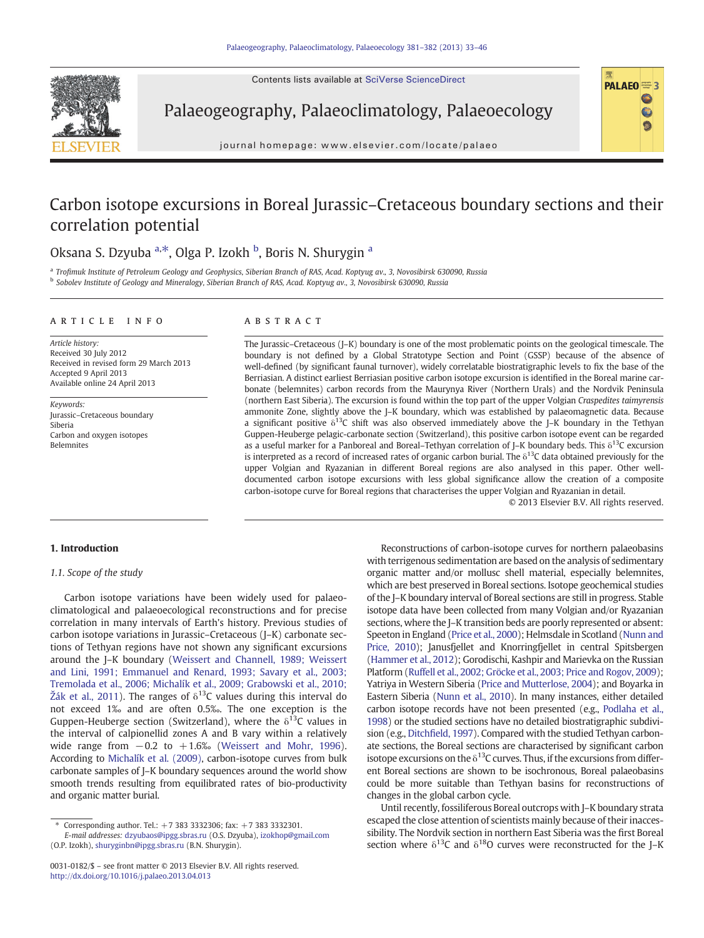Contents lists available at SciVerse ScienceDirect



Palaeogeography, Palaeoclimatology, Palaeoecology

journal homepage: www.elsevier.com/locate/palaeo

# Carbon isotope excursions in Boreal Jurassic–Cretaceous boundary sections and their correlation potential

## Oksana S. Dzyuba <sup>a,\*</sup>, Olga P. Izokh <sup>b</sup>, Boris N. Shurygin <sup>a</sup>

a Trofimuk Institute of Petroleum Geology and Geophysics, Siberian Branch of RAS, Acad. Koptyug av., 3, Novosibirsk 630090, Russia <sup>b</sup> Sobolev Institute of Geology and Mineralogy, Siberian Branch of RAS, Acad. Koptyug av., 3, Novosibirsk 630090, Russia

#### article info abstract

Article history: Received 30 July 2012 Received in revised form 29 March 2013 Accepted 9 April 2013 Available online 24 April 2013

Keywords: Jurassic–Cretaceous boundary Siberia Carbon and oxygen isotopes Belemnites

The Jurassic–Cretaceous (J–K) boundary is one of the most problematic points on the geological timescale. The boundary is not defined by a Global Stratotype Section and Point (GSSP) because of the absence of well-defined (by significant faunal turnover), widely correlatable biostratigraphic levels to fix the base of the Berriasian. A distinct earliest Berriasian positive carbon isotope excursion is identified in the Boreal marine carbonate (belemnites) carbon records from the Maurynya River (Northern Urals) and the Nordvik Peninsula (northern East Siberia). The excursion is found within the top part of the upper Volgian Craspedites taimyrensis ammonite Zone, slightly above the J–K boundary, which was established by palaeomagnetic data. Because a significant positive  $\delta^{13}$ C shift was also observed immediately above the J–K boundary in the Tethyan Guppen-Heuberge pelagic-carbonate section (Switzerland), this positive carbon isotope event can be regarded as a useful marker for a Panboreal and Boreal–Tethyan correlation of J–K boundary beds. This  $\delta^{13}C$  excursion is interpreted as a record of increased rates of organic carbon burial. The  $\delta^{13}$ C data obtained previously for the upper Volgian and Ryazanian in different Boreal regions are also analysed in this paper. Other welldocumented carbon isotope excursions with less global significance allow the creation of a composite carbon-isotope curve for Boreal regions that characterises the upper Volgian and Ryazanian in detail.

© 2013 Elsevier B.V. All rights reserved.

PALAEO<sup>=3</sup>

Ò

#### 1. Introduction

#### 1.1. Scope of the study

Carbon isotope variations have been widely used for palaeoclimatological and palaeoecological reconstructions and for precise correlation in many intervals of Earth's history. Previous studies of carbon isotope variations in Jurassic–Cretaceous (J–K) carbonate sections of Tethyan regions have not shown any significant excursions around the J–K boundary [\(Weissert and Channell, 1989; Weissert](#page-12-0) [and Lini, 1991; Emmanuel and Renard, 1993; Savary et al., 2003;](#page-12-0) [Tremolada et al., 2006; Michalík et al., 2009; Grabowski et al., 2010;](#page-12-0) Ž[ák et al., 2011\)](#page-12-0). The ranges of  $\delta^{13}$ C values during this interval do not exceed 1‰ and are often 0.5‰. The one exception is the Guppen-Heuberge section (Switzerland), where the  $\delta^{13}$ C values in the interval of calpionellid zones A and B vary within a relatively wide range from  $-0.2$  to  $+1.6%$  [\(Weissert and Mohr, 1996](#page-12-0)). According to [Michalík et al. \(2009\),](#page-11-0) carbon-isotope curves from bulk carbonate samples of J–K boundary sequences around the world show smooth trends resulting from equilibrated rates of bio-productivity and organic matter burial.

⁎ Corresponding author. Tel.: +7 383 3332306; fax: +7 383 3332301.

E-mail addresses: [dzyubaos@ipgg.sbras.ru](mailto:dzyubaos@ipgg.sbras.ru) (O.S. Dzyuba), [izokhop@gmail.com](mailto:izokhop@gmail.com) (O.P. Izokh), [shuryginbn@ipgg.sbras.ru](mailto:shuryginbn@ipgg.sbras.ru) (B.N. Shurygin).

Reconstructions of carbon-isotope curves for northern palaeobasins with terrigenous sedimentation are based on the analysis of sedimentary organic matter and/or mollusc shell material, especially belemnites, which are best preserved in Boreal sections. Isotope geochemical studies of the J–K boundary interval of Boreal sections are still in progress. Stable isotope data have been collected from many Volgian and/or Ryazanian sections, where the J–K transition beds are poorly represented or absent: Speeton in England [\(Price et al., 2000\)](#page-12-0); Helmsdale in Scotland [\(Nunn and](#page-12-0) [Price, 2010\)](#page-12-0); Janusfjellet and Knorringfjellet in central Spitsbergen [\(Hammer et al., 2012](#page-11-0)); Gorodischi, Kashpir and Marievka on the Russian Platform (Ruffell et al., 2002; Gröcke et [al., 2003; Price and Rogov, 2009](#page-12-0)); Yatriya in Western Siberia [\(Price and Mutterlose, 2004](#page-12-0)); and Boyarka in Eastern Siberia ([Nunn et al., 2010\)](#page-12-0). In many instances, either detailed carbon isotope records have not been presented (e.g., [Podlaha et al.,](#page-12-0) [1998](#page-12-0)) or the studied sections have no detailed biostratigraphic subdivision (e.g., Ditchfi[eld, 1997](#page-11-0)). Compared with the studied Tethyan carbonate sections, the Boreal sections are characterised by significant carbon isotope excursions on the  $\delta^{13}$ C curves. Thus, if the excursions from different Boreal sections are shown to be isochronous, Boreal palaeobasins could be more suitable than Tethyan basins for reconstructions of changes in the global carbon cycle.

Until recently, fossiliferous Boreal outcrops with J–K boundary strata escaped the close attention of scientists mainly because of their inaccessibility. The Nordvik section in northern East Siberia was the first Boreal section where  $\delta^{13}$ C and  $\delta^{18}$ O curves were reconstructed for the J–K

<sup>0031-0182/\$</sup> – see front matter © 2013 Elsevier B.V. All rights reserved. <http://dx.doi.org/10.1016/j.palaeo.2013.04.013>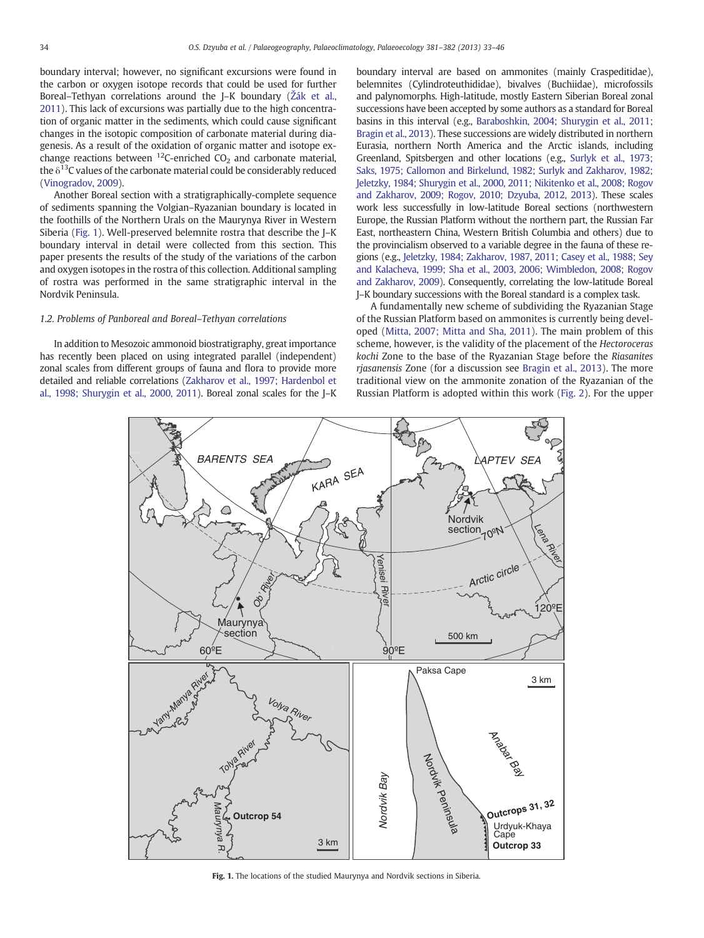<span id="page-1-0"></span>boundary interval; however, no significant excursions were found in the carbon or oxygen isotope records that could be used for further Boreal–Tethyan correlations around the J–K boundary (Ž[ák et al.,](#page-12-0) [2011\)](#page-12-0). This lack of excursions was partially due to the high concentration of organic matter in the sediments, which could cause significant changes in the isotopic composition of carbonate material during diagenesis. As a result of the oxidation of organic matter and isotope exchange reactions between <sup>12</sup>C-enriched  $CO<sub>2</sub>$  and carbonate material, the  $\delta^{13}$ C values of the carbonate material could be considerably reduced [\(Vinogradov, 2009\)](#page-12-0).

Another Boreal section with a stratigraphically-complete sequence of sediments spanning the Volgian–Ryazanian boundary is located in the foothills of the Northern Urals on the Maurynya River in Western Siberia (Fig. 1). Well-preserved belemnite rostra that describe the J–K boundary interval in detail were collected from this section. This paper presents the results of the study of the variations of the carbon and oxygen isotopes in the rostra of this collection. Additional sampling of rostra was performed in the same stratigraphic interval in the Nordvik Peninsula.

#### 1.2. Problems of Panboreal and Boreal–Tethyan correlations

In addition to Mesozoic ammonoid biostratigraphy, great importance has recently been placed on using integrated parallel (independent) zonal scales from different groups of fauna and flora to provide more detailed and reliable correlations [\(Zakharov et al., 1997; Hardenbol et](#page-13-0) [al., 1998; Shurygin et al., 2000, 2011\)](#page-13-0). Boreal zonal scales for the J–K

boundary interval are based on ammonites (mainly Craspeditidae), belemnites (Cylindroteuthididae), bivalves (Buchiidae), microfossils and palynomorphs. High-latitude, mostly Eastern Siberian Boreal zonal successions have been accepted by some authors as a standard for Boreal basins in this interval (e.g., [Baraboshkin, 2004; Shurygin et al., 2011;](#page-11-0) [Bragin et al., 2013](#page-11-0)). These successions are widely distributed in northern Eurasia, northern North America and the Arctic islands, including Greenland, Spitsbergen and other locations (e.g., [Surlyk et al., 1973;](#page-12-0) [Saks, 1975; Callomon and Birkelund, 1982; Surlyk and Zakharov, 1982;](#page-12-0) Jeletzky, 1984; Shurygin [et al., 2000, 2011; Nikitenko et al., 2008; Rogov](#page-12-0) [and Zakharov, 2009; Rogov, 2010; Dzyuba, 2012, 2013\)](#page-12-0). These scales work less successfully in low-latitude Boreal sections (northwestern Europe, the Russian Platform without the northern part, the Russian Far East, northeastern China, Western British Columbia and others) due to the provincialism observed to a variable degree in the fauna of these regions (e.g., [Jeletzky, 1984; Zakharov, 1987, 2011; Casey et al., 1988; Sey](#page-11-0) [and Kalacheva, 1999; Sha et al., 2003, 2006; Wimbledon, 2008; Rogov](#page-11-0) [and Zakharov, 2009\)](#page-11-0). Consequently, correlating the low-latitude Boreal J–K boundary successions with the Boreal standard is a complex task.

A fundamentally new scheme of subdividing the Ryazanian Stage of the Russian Platform based on ammonites is currently being developed [\(Mitta, 2007; Mitta and Sha, 2011\)](#page-11-0). The main problem of this scheme, however, is the validity of the placement of the Hectoroceras kochi Zone to the base of the Ryazanian Stage before the Riasanites rjasanensis Zone (for a discussion see [Bragin et al., 2013](#page-11-0)). The more traditional view on the ammonite zonation of the Ryazanian of the Russian Platform is adopted within this work ([Fig. 2](#page-2-0)). For the upper



Fig. 1. The locations of the studied Maurynya and Nordvik sections in Siberia.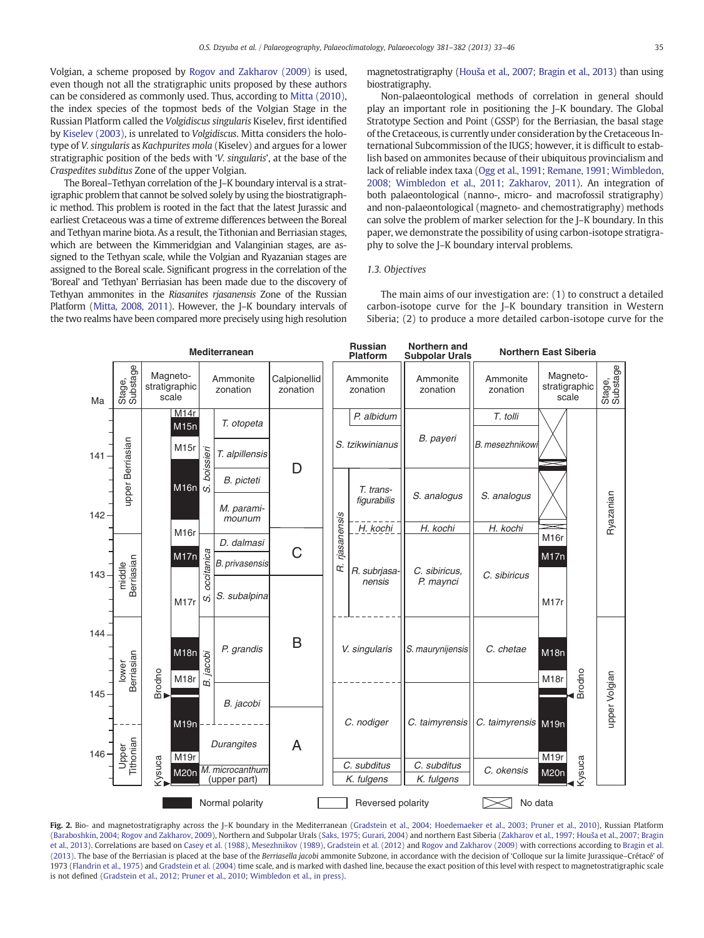<span id="page-2-0"></span>Volgian, a scheme proposed by [Rogov and Zakharov \(2009\)](#page-12-0) is used, even though not all the stratigraphic units proposed by these authors can be considered as commonly used. Thus, according to [Mitta \(2010\),](#page-11-0) the index species of the topmost beds of the Volgian Stage in the Russian Platform called the Volgidiscus singularis Kiselev, first identified by [Kiselev \(2003\)](#page-11-0), is unrelated to Volgidiscus. Mitta considers the holotype of V. singularis as Kachpurites mola (Kiselev) and argues for a lower stratigraphic position of the beds with 'V. singularis', at the base of the Craspedites subditus Zone of the upper Volgian.

The Boreal–Tethyan correlation of the J–K boundary interval is a stratigraphic problem that cannot be solved solely by using the biostratigraphic method. This problem is rooted in the fact that the latest Jurassic and earliest Cretaceous was a time of extreme differences between the Boreal and Tethyan marine biota. As a result, the Tithonian and Berriasian stages, which are between the Kimmeridgian and Valanginian stages, are assigned to the Tethyan scale, while the Volgian and Ryazanian stages are assigned to the Boreal scale. Significant progress in the correlation of the 'Boreal' and 'Tethyan' Berriasian has been made due to the discovery of Tethyan ammonites in the Riasanites rjasanensis Zone of the Russian Platform [\(Mitta, 2008, 2011](#page-11-0)). However, the J–K boundary intervals of the two realms have been compared more precisely using high resolution

magnetostratigraphy (Houš[a et al., 2007; Bragin et al., 2013\)](#page-11-0) than using biostratigraphy.

Non-palaeontological methods of correlation in general should play an important role in positioning the J–K boundary. The Global Stratotype Section and Point (GSSP) for the Berriasian, the basal stage of the Cretaceous, is currently under consideration by the Cretaceous International Subcommission of the IUGS; however, it is difficult to establish based on ammonites because of their ubiquitous provincialism and lack of reliable index taxa [\(Ogg et al., 1991; Remane, 1991; Wimbledon,](#page-12-0) [2008; Wimbledon et al., 2011; Zakharov, 2011\)](#page-12-0). An integration of both palaeontological (nanno-, micro- and macrofossil stratigraphy) and non-palaeontological (magneto- and chemostratigraphy) methods can solve the problem of marker selection for the J–K boundary. In this paper, we demonstrate the possibility of using carbon-isotope stratigraphy to solve the J–K boundary interval problems.

#### 1.3. Objectives

The main aims of our investigation are: (1) to construct a detailed carbon-isotope curve for the J–K boundary transition in Western Siberia; (2) to produce a more detailed carbon-isotope curve for the



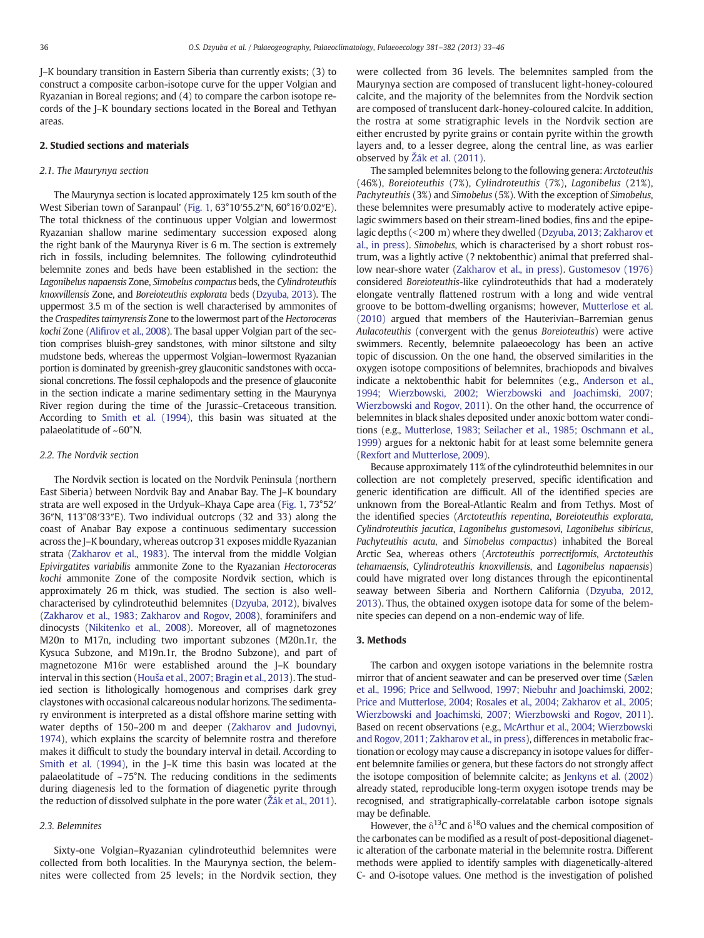J–K boundary transition in Eastern Siberia than currently exists; (3) to construct a composite carbon-isotope curve for the upper Volgian and Ryazanian in Boreal regions; and (4) to compare the carbon isotope records of the J–K boundary sections located in the Boreal and Tethyan areas.

#### 2. Studied sections and materials

#### 2.1. The Maurynya section

The Maurynya section is located approximately 125 km south of the West Siberian town of Saranpaul' [\(Fig. 1,](#page-1-0) 63°10′55.2″N, 60°16′0.02″E). The total thickness of the continuous upper Volgian and lowermost Ryazanian shallow marine sedimentary succession exposed along the right bank of the Maurynya River is 6 m. The section is extremely rich in fossils, including belemnites. The following cylindroteuthid belemnite zones and beds have been established in the section: the Lagonibelus napaensis Zone, Simobelus compactus beds, the Cylindroteuthis knoxvillensis Zone, and Boreioteuthis explorata beds ([Dzyuba, 2013](#page-11-0)). The uppermost 3.5 m of the section is well characterised by ammonites of the Craspedites taimyrensis Zone to the lowermost part of the Hectoroceras kochi Zone (Alifi[rov et al., 2008\)](#page-11-0). The basal upper Volgian part of the section comprises bluish-grey sandstones, with minor siltstone and silty mudstone beds, whereas the uppermost Volgian–lowermost Ryazanian portion is dominated by greenish-grey glauconitic sandstones with occasional concretions. The fossil cephalopods and the presence of glauconite in the section indicate a marine sedimentary setting in the Maurynya River region during the time of the Jurassic–Cretaceous transition. According to [Smith et al. \(1994\)](#page-12-0), this basin was situated at the palaeolatitude of ~60°N.

#### 2.2. The Nordvik section

The Nordvik section is located on the Nordvik Peninsula (northern East Siberia) between Nordvik Bay and Anabar Bay. The J–K boundary strata are well exposed in the Urdyuk–Khaya Cape area [\(Fig. 1](#page-1-0), 73°52′ 36″N, 113°08′33″E). Two individual outcrops (32 and 33) along the coast of Anabar Bay expose a continuous sedimentary succession across the J–K boundary, whereas outcrop 31 exposes middle Ryazanian strata ([Zakharov et al., 1983](#page-13-0)). The interval from the middle Volgian Epivirgatites variabilis ammonite Zone to the Ryazanian Hectoroceras kochi ammonite Zone of the composite Nordvik section, which is approximately 26 m thick, was studied. The section is also wellcharacterised by cylindroteuthid belemnites ([Dzyuba, 2012\)](#page-11-0), bivalves [\(Zakharov et al., 1983; Zakharov and Rogov, 2008\)](#page-13-0), foraminifers and dinocysts [\(Nikitenko et al., 2008\)](#page-12-0). Moreover, all of magnetozones M20n to M17n, including two important subzones (M20n.1r, the Kysuca Subzone, and M19n.1r, the Brodno Subzone), and part of magnetozone M16r were established around the J–K boundary interval in this section (Houš[a et al., 2007; Bragin et al., 2013\)](#page-11-0). The studied section is lithologically homogenous and comprises dark grey claystones with occasional calcareous nodular horizons. The sedimentary environment is interpreted as a distal offshore marine setting with water depths of 150–200 m and deeper [\(Zakharov and Judovnyi,](#page-13-0) [1974\)](#page-13-0), which explains the scarcity of belemnite rostra and therefore makes it difficult to study the boundary interval in detail. According to [Smith et al. \(1994\)](#page-12-0), in the J–K time this basin was located at the palaeolatitude of  $\sim$ 75°N. The reducing conditions in the sediments during diagenesis led to the formation of diagenetic pyrite through the reduction of dissolved sulphate in the pore water (Ž[ák et al., 2011\)](#page-12-0).

#### 2.3. Belemnites

Sixty-one Volgian–Ryazanian cylindroteuthid belemnites were collected from both localities. In the Maurynya section, the belemnites were collected from 25 levels; in the Nordvik section, they were collected from 36 levels. The belemnites sampled from the Maurynya section are composed of translucent light-honey-coloured calcite, and the majority of the belemnites from the Nordvik section are composed of translucent dark-honey-coloured calcite. In addition, the rostra at some stratigraphic levels in the Nordvik section are either encrusted by pyrite grains or contain pyrite within the growth layers and, to a lesser degree, along the central line, as was earlier observed by Ž[ák et al. \(2011\)](#page-12-0).

The sampled belemnites belong to the following genera: Arctoteuthis (46%), Boreioteuthis (7%), Cylindroteuthis (7%), Lagonibelus (21%), Pachyteuthis (3%) and Simobelus (5%). With the exception of Simobelus, these belemnites were presumably active to moderately active epipelagic swimmers based on their stream-lined bodies, fins and the epipe-lagic depths (<200 m) where they dwelled ([Dzyuba, 2013; Zakharov et](#page-11-0) [al., in press\)](#page-11-0). Simobelus, which is characterised by a short robust rostrum, was a lightly active (? nektobenthic) animal that preferred shallow near-shore water [\(Zakharov et al., in press](#page-13-0)). [Gustomesov \(1976\)](#page-11-0) considered Boreioteuthis-like cylindroteuthids that had a moderately elongate ventrally flattened rostrum with a long and wide ventral groove to be bottom-dwelling organisms; however, [Mutterlose et al.](#page-11-0) [\(2010\)](#page-11-0) argued that members of the Hauterivian–Barremian genus Aulacoteuthis (convergent with the genus Boreioteuthis) were active swimmers. Recently, belemnite palaeoecology has been an active topic of discussion. On the one hand, the observed similarities in the oxygen isotope compositions of belemnites, brachiopods and bivalves indicate a nektobenthic habit for belemnites (e.g., [Anderson et al.,](#page-11-0) [1994; Wierzbowski, 2002; Wierzbowski and Joachimski, 2007;](#page-11-0) [Wierzbowski and Rogov, 2011](#page-11-0)). On the other hand, the occurrence of belemnites in black shales deposited under anoxic bottom water conditions (e.g., [Mutterlose, 1983; Seilacher et al., 1985; Oschmann et al.,](#page-11-0) [1999\)](#page-11-0) argues for a nektonic habit for at least some belemnite genera [\(Rexfort and Mutterlose, 2009](#page-12-0)).

Because approximately 11% of the cylindroteuthid belemnites in our collection are not completely preserved, specific identification and generic identification are difficult. All of the identified species are unknown from the Boreal-Atlantic Realm and from Tethys. Most of the identified species (Arctoteuthis repentina, Boreioteuthis explorata, Cylindroteuthis jacutica, Lagonibelus gustomesovi, Lagonibelus sibiricus, Pachyteuthis acuta, and Simobelus compactus) inhabited the Boreal Arctic Sea, whereas others (Arctoteuthis porrectiformis, Arctoteuthis tehamaensis, Cylindroteuthis knoxvillensis, and Lagonibelus napaensis) could have migrated over long distances through the epicontinental seaway between Siberia and Northern California [\(Dzyuba, 2012,](#page-11-0) [2013\)](#page-11-0). Thus, the obtained oxygen isotope data for some of the belemnite species can depend on a non-endemic way of life.

#### 3. Methods

The carbon and oxygen isotope variations in the belemnite rostra mirror that of ancient seawater and can be preserved over time [\(Sælen](#page-12-0) [et al., 1996; Price and Sellwood, 1997; Niebuhr and Joachimski, 2002;](#page-12-0) [Price and Mutterlose, 2004; Rosales et al., 2004; Zakharov et al., 2005;](#page-12-0) [Wierzbowski and Joachimski, 2007; Wierzbowski and Rogov, 2011\)](#page-12-0). Based on recent observations (e.g., [McArthur et al., 2004; Wierzbowski](#page-11-0) [and Rogov, 2011; Zakharov et al., in press\)](#page-11-0), differences in metabolic fractionation or ecology may cause a discrepancy in isotope values for different belemnite families or genera, but these factors do not strongly affect the isotope composition of belemnite calcite; as [Jenkyns et al. \(2002\)](#page-11-0) already stated, reproducible long-term oxygen isotope trends may be recognised, and stratigraphically-correlatable carbon isotope signals may be definable.

However, the  $\delta^{13}$ C and  $\delta^{18}$ O values and the chemical composition of the carbonates can be modified as a result of post-depositional diagenetic alteration of the carbonate material in the belemnite rostra. Different methods were applied to identify samples with diagenetically-altered C- and O-isotope values. One method is the investigation of polished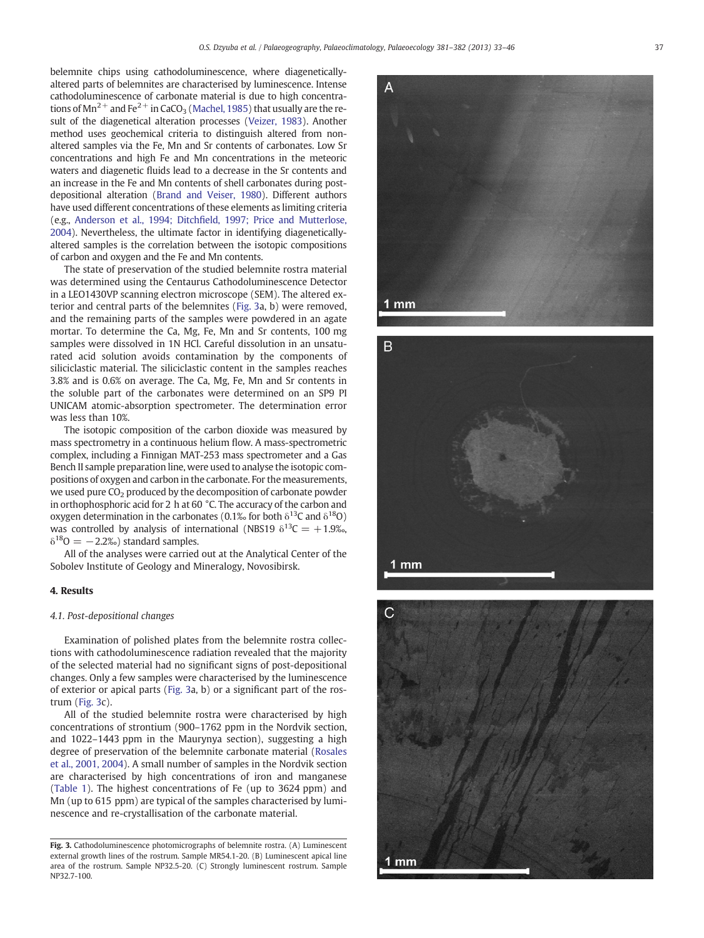<span id="page-4-0"></span>belemnite chips using cathodoluminescence, where diageneticallyaltered parts of belemnites are characterised by luminescence. Intense cathodoluminescence of carbonate material is due to high concentrations of  $Mn^{2+}$  and Fe<sup>2+</sup> in CaCO<sub>3</sub> ([Machel, 1985\)](#page-11-0) that usually are the result of the diagenetical alteration processes [\(Veizer, 1983\)](#page-12-0). Another method uses geochemical criteria to distinguish altered from nonaltered samples via the Fe, Mn and Sr contents of carbonates. Low Sr concentrations and high Fe and Mn concentrations in the meteoric waters and diagenetic fluids lead to a decrease in the Sr contents and an increase in the Fe and Mn contents of shell carbonates during postdepositional alteration [\(Brand and Veiser, 1980](#page-11-0)). Different authors have used different concentrations of these elements as limiting criteria (e.g., Anderson et al., 1994; Ditchfi[eld, 1997; Price and Mutterlose,](#page-11-0) [2004](#page-11-0)). Nevertheless, the ultimate factor in identifying diageneticallyaltered samples is the correlation between the isotopic compositions of carbon and oxygen and the Fe and Mn contents.

The state of preservation of the studied belemnite rostra material was determined using the Centaurus Cathodoluminescence Detector in a LEO1430VP scanning electron microscope (SEM). The altered exterior and central parts of the belemnites (Fig. 3a, b) were removed, and the remaining parts of the samples were powdered in an agate mortar. To determine the Ca, Mg, Fe, Mn and Sr contents, 100 mg samples were dissolved in 1N HCl. Careful dissolution in an unsaturated acid solution avoids contamination by the components of siliciclastic material. The siliciclastic content in the samples reaches 3.8% and is 0.6% on average. The Ca, Mg, Fe, Mn and Sr contents in the soluble part of the carbonates were determined on an SP9 PI UNICAM atomic-absorption spectrometer. The determination error was less than 10%.

The isotopic composition of the carbon dioxide was measured by mass spectrometry in a continuous helium flow. A mass-spectrometric complex, including a Finnigan MAT-253 mass spectrometer and a Gas Bench II sample preparation line, were used to analyse the isotopic compositions of oxygen and carbon in the carbonate. For the measurements, we used pure CO<sub>2</sub> produced by the decomposition of carbonate powder in orthophosphoric acid for 2 h at 60 °C. The accuracy of the carbon and oxygen determination in the carbonates (0.1‰ for both  $\delta^{13}$ C and  $\delta^{18}$ O) was controlled by analysis of international (NBS19  $\delta^{13}C = +1.9\%$ ,  $\delta^{18}O = -2.2\%$ ) standard samples.

All of the analyses were carried out at the Analytical Center of the Sobolev Institute of Geology and Mineralogy, Novosibirsk.

#### 4. Results

#### 4.1. Post-depositional changes

Examination of polished plates from the belemnite rostra collections with cathodoluminescence radiation revealed that the majority of the selected material had no significant signs of post-depositional changes. Only a few samples were characterised by the luminescence of exterior or apical parts (Fig. 3a, b) or a significant part of the rostrum (Fig. 3c).

All of the studied belemnite rostra were characterised by high concentrations of strontium (900–1762 ppm in the Nordvik section, and 1022–1443 ppm in the Maurynya section), suggesting a high degree of preservation of the belemnite carbonate material ([Rosales](#page-12-0) [et al., 2001, 2004](#page-12-0)). A small number of samples in the Nordvik section are characterised by high concentrations of iron and manganese [\(Table 1](#page-5-0)). The highest concentrations of Fe (up to 3624 ppm) and Mn (up to 615 ppm) are typical of the samples characterised by luminescence and re-crystallisation of the carbonate material.







Fig. 3. Cathodoluminescence photomicrographs of belemnite rostra. (A) Luminescent external growth lines of the rostrum. Sample MR54.1-20. (B) Luminescent apical line area of the rostrum. Sample NP32.5-20. (C) Strongly luminescent rostrum. Sample NP32.7-100.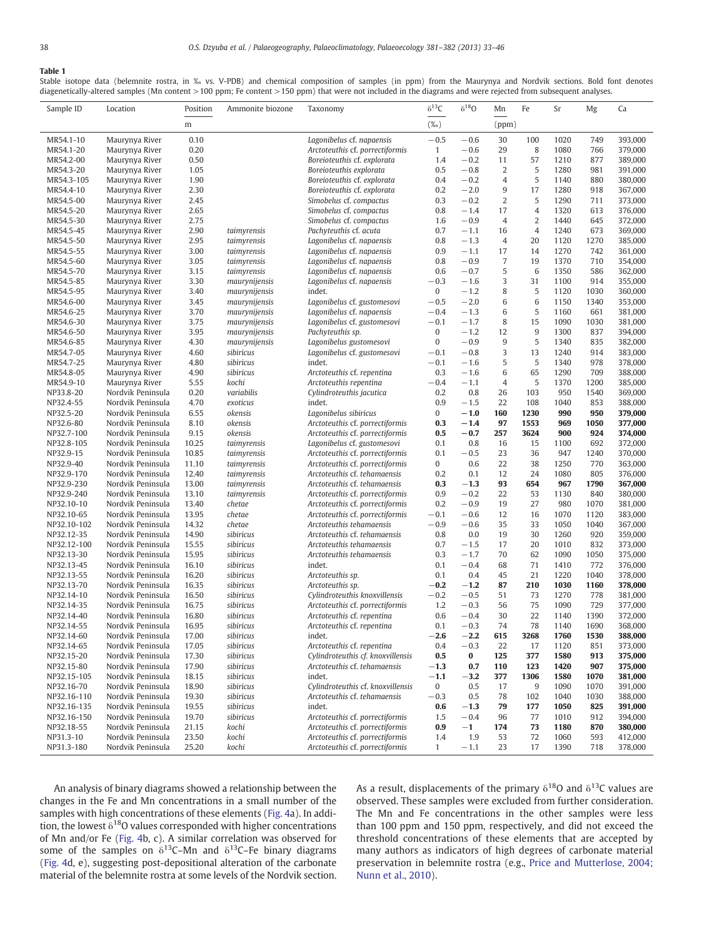### <span id="page-5-0"></span>Table 1

Stable isotope data (belemnite rostra, in ‰ vs. V-PDB) and chemical composition of samples (in ppm) from the Maurynya and Nordvik sections. Bold font denotes diagenetically-altered samples (Mn content >100 ppm; Fe content >150 ppm) that were not included in the diagrams and were rejected from subsequent analyses.

| Sample ID                | Location                               | Position       | Ammonite biozone               | Taxonomy                                                           | $\delta^{13}C$           | $\delta^{18}O$   | Mn             | Fe             | Sr           | Mg          | Ca                 |
|--------------------------|----------------------------------------|----------------|--------------------------------|--------------------------------------------------------------------|--------------------------|------------------|----------------|----------------|--------------|-------------|--------------------|
|                          |                                        | m              |                                |                                                                    | $(\%$ o)                 |                  | (ppm)          |                |              |             |                    |
| MR54.1-10                | Maurynya River                         | 0.10           |                                | Lagonibelus cf. napaensis                                          | $-0.5$                   | $-0.6$           | 30             | 100            | 1020         | 749         | 393,000            |
| MR54.1-20                | Maurynya River                         | 0.20           |                                | Arctoteuthis cf. porrectiformis                                    | $\mathbf{1}$             | $-0.6$           | 29             | 8              | 1080         | 766         | 379,000            |
| MR54.2-00                | Maurynya River                         | 0.50           |                                | Boreioteuthis cf. explorata                                        | 1.4                      | $-0.2$           | 11             | 57             | 1210         | 877         | 389,000            |
| MR54.3-20                | Maurynya River                         | 1.05           |                                | Boreioteuthis explorata                                            | 0.5                      | $-0.8$           | 2              | 5              | 1280         | 981         | 391,000            |
| MR54.3-105               | Maurynya River                         | 1.90           |                                | Boreioteuthis cf. explorata                                        | 0.4                      | $-0.2$           | $\overline{4}$ | 5              | 1140         | 880         | 380,000            |
| MR54.4-10                | Maurynya River                         | 2.30           |                                | Boreioteuthis cf. explorata                                        | 0.2                      | $-2.0$           | 9              | 17             | 1280         | 918         | 367,000            |
| MR54.5-00<br>MR54.5-20   | Maurynya River<br>Maurynya River       | 2.45<br>2.65   |                                | Simobelus cf. compactus<br>Simobelus cf. compactus                 | 0.3<br>0.8               | $-0.2$<br>$-1.4$ | 2<br>17        | 5<br>4         | 1290<br>1320 | 711<br>613  | 373,000<br>376,000 |
| MR54.5-30                | Maurynya River                         | 2.75           |                                | Simobelus cf. compactus                                            | 1.6                      | $-0.9$           | 4              | $\overline{2}$ | 1440         | 645         | 372,000            |
| MR54.5-45                | Maurynya River                         | 2.90           | taimyrensis                    | Pachyteuthis cf. acuta                                             | 0.7                      | $-1.1$           | 16             | $\overline{4}$ | 1240         | 673         | 369,000            |
| MR54.5-50                | Maurynya River                         | 2.95           | taimyrensis                    | Lagonibelus cf. napaensis                                          | 0.8                      | $-1.3$           | 4              | 20             | 1120         | 1270        | 385,000            |
| MR54.5-55                | Maurynya River                         | 3.00           | taimyrensis                    | Lagonibelus cf. napaensis                                          | 0.9                      | $-1.1$           | 17             | 14             | 1270         | 742         | 361,000            |
| MR54.5-60                | Maurynya River                         | 3.05           | taimyrensis                    | Lagonibelus cf. napaensis                                          | 0.8                      | $-0.9$           | 7              | 19             | 1370         | 710         | 354,000            |
| MR54.5-70                | Maurynya River                         | 3.15           | taimyrensis                    | Lagonibelus cf. napaensis                                          | 0.6                      | $-0.7$           | 5              | 6              | 1350         | 586         | 362,000            |
| MR54.5-85                | Maurynya River                         | 3.30           | maurynijensis                  | Lagonibelus cf. napaensis                                          | $-0.3$                   | $-1.6$           | 3              | 31             | 1100         | 914         | 355,000            |
| MR54.5-95                | Maurynya River                         | 3.40           | maurynijensis                  | indet.                                                             | 0                        | $-1.2$           | 8              | 5              | 1120         | 1030        | 360,000            |
| MR54.6-00                | Maurynya River                         | 3.45           | maurynijensis                  | Lagonibelus cf. gustomesovi                                        | $-0.5$                   | $-2.0$           | 6              | 6              | 1150         | 1340        | 353,000            |
| MR54.6-25                | Maurynya River                         | 3.70           | maurynijensis                  | Lagonibelus cf. napaensis                                          | $-0.4$                   | $-1.3$           | 6              | 5              | 1160         | 661         | 381,000            |
| MR54.6-30                | Maurynya River<br>Maurynya River       | 3.75           | maurynijensis                  | Lagonibelus cf. gustomesovi                                        | $-0.1$<br>$\overline{0}$ | $-1.7$           | 8<br>12        | 15<br>9        | 1090         | 1030<br>837 | 381,000            |
| MR54.6-50<br>MR54.6-85   | Maurynya River                         | 3.95<br>4.30   | maurynijensis<br>maurynijensis | Pachyteuthis sp.<br>Lagonibelus gustomesovi                        | $\bf{0}$                 | $-1.2$<br>$-0.9$ | 9              | 5              | 1300<br>1340 | 835         | 394,000<br>382,000 |
| MR54.7-05                | Maurynya River                         | 4.60           | sibiricus                      | Lagonibelus cf. gustomesovi                                        | $-0.1$                   | $-0.8$           | 3              | 13             | 1240         | 914         | 383,000            |
| MR54.7-25                | Maurynya River                         | 4.80           | sibiricus                      | indet.                                                             | $-0.1$                   | $-1.6$           | 5              | 5              | 1340         | 978         | 378,000            |
| MR54.8-05                | Maurynya River                         | 4.90           | sibiricus                      | Arctoteuthis cf. repentina                                         | 0.3                      | $-1.6$           | 6              | 65             | 1290         | 709         | 388,000            |
| MR54.9-10                | Maurynya River                         | 5.55           | kochi                          | Arctoteuthis repentina                                             | $-0.4$                   | $-1.1$           | 4              | 5              | 1370         | 1200        | 385,000            |
| NP33.8-20                | Nordvik Peninsula                      | 0.20           | variabilis                     | Cylindroteuthis jacutica                                           | 0.2                      | 0.8              | 26             | 103            | 950          | 1540        | 369,000            |
| NP32.4-55                | Nordvik Peninsula                      | 4.70           | exoticus                       | indet.                                                             | 0.9                      | $-1.5$           | 22             | 108            | 1040         | 853         | 388,000            |
| NP32.5-20                | Nordvik Peninsula                      | 6.55           | okensis                        | Lagonibelus sibiricus                                              | 0                        | $-1.0$           | 160            | 1230           | 990          | 950         | 379,000            |
| NP32.6-80                | Nordvik Peninsula                      | 8.10           | okensis                        | Arctoteuthis cf. porrectiformis                                    | 0.3                      | $-1.4$           | 97             | 1553           | 969          | 1050        | 377,000            |
| NP32.7-100               | Nordvik Peninsula                      | 9.15           | okensis                        | Arctoteuthis cf. porrectiformis                                    | 0.5                      | $-0.7$           | 257            | 3624           | 900          | 924         | 374,000            |
| NP32.8-105               | Nordvik Peninsula                      | 10.25          | taimyrensis                    | Lagonibelus cf. gustomesovi                                        | 0.1                      | 0.8              | 16             | 15             | 1100         | 692         | 372,000            |
| NP32.9-15                | Nordvik Peninsula                      | 10.85          | taimyrensis                    | Arctoteuthis cf. porrectiformis                                    | 0.1                      | $-0.5$           | 23             | 36             | 947          | 1240        | 370,000            |
| NP32.9-40<br>NP32.9-170  | Nordvik Peninsula<br>Nordvik Peninsula | 11.10<br>12.40 | taimyrensis<br>taimyrensis     | Arctoteuthis cf. porrectiformis<br>Arctoteuthis cf. tehamaensis    | 0<br>0.2                 | 0.6<br>0.1       | 22<br>12       | 38<br>24       | 1250<br>1080 | 770<br>805  | 363,000<br>376,000 |
| NP32.9-230               | Nordvik Peninsula                      | 13.00          | taimyrensis                    | Arctoteuthis cf. tehamaensis                                       | 0.3                      | $-1.3$           | 93             | 654            | 967          | 1790        | 367,000            |
| NP32.9-240               | Nordvik Peninsula                      | 13.10          | taimyrensis                    | Arctoteuthis cf. porrectiformis                                    | 0.9                      | $-0.2$           | 22             | 53             | 1130         | 840         | 380,000            |
| NP32.10-10               | Nordvik Peninsula                      | 13.40          | chetae                         | Arctoteuthis cf. porrectiformis                                    | 0.2                      | $-0.9$           | 19             | 27             | 980          | 1070        | 381,000            |
| NP32.10-65               | Nordvik Peninsula                      | 13.95          | chetae                         | Arctoteuthis cf. porrectiformis                                    | $-0.1$                   | $-0.6$           | 12             | 16             | 1070         | 1120        | 383,000            |
| NP32.10-102              | Nordvik Peninsula                      | 14.32          | chetae                         | Arctoteuthis tehamaensis                                           | $-0.9$                   | $-0.6$           | 35             | 33             | 1050         | 1040        | 367,000            |
| NP32.12-35               | Nordvik Peninsula                      | 14.90          | sibiricus                      | Arctoteuthis cf. tehamaensis                                       | 0.8                      | 0.0              | 19             | 30             | 1260         | 920         | 359,000            |
| NP32.12-100              | Nordvik Peninsula                      | 15.55          | sibiricus                      | Arctoteuthis tehamaensis                                           | 0.7                      | $-1.5$           | 17             | 20             | 1010         | 832         | 373,000            |
| NP32.13-30               | Nordvik Peninsula                      | 15.95          | sibiricus                      | Arctoteuthis tehamaensis                                           | 0.3                      | $-1.7$           | 70             | 62             | 1090         | 1050        | 375,000            |
| NP32.13-45               | Nordvik Peninsula                      | 16.10          | sibiricus                      | indet.                                                             | 0.1                      | $-0.4$           | 68             | 71             | 1410         | 772         | 376,000            |
| NP32.13-55               | Nordvik Peninsula                      | 16.20          | sibiricus                      | Arctoteuthis sp.                                                   | 0.1                      | 0.4              | 45             | 21             | 1220         | 1040        | 378,000            |
| NP32.13-70               | Nordvik Peninsula                      | 16.35          | sibiricus                      | Arctoteuthis sp.                                                   | $-0.2$                   | $-1.2$           | 87             | 210            | 1030         | 1160        | 378,000            |
| NP32.14-10<br>NP32.14-35 | Nordvik Peninsula<br>Nordvik Peninsula | 16.50<br>16.75 | sibiricus<br>sibiricus         | Cylindroteuthis knoxvillensis<br>Arctoteuthis cf. porrectiformis   | $-0.2$<br>1.2            | $-0.5$<br>$-0.3$ | 51<br>56       | 73<br>75       | 1270<br>1090 | 778<br>729  | 381,000<br>377,000 |
| NP32.14-40               | Nordvik Peninsula                      | 16.80          | sibiricus                      | Arctoteuthis cf. repentina                                         | 0.6                      | $-0.4$           | 30             | 22             | 1140         | 1390        | 372,000            |
| NP32.14-55               | Nordvik Peninsula                      | 16.95          | sibiricus                      | Arctoteuthis cf. repentina                                         | 0.1                      | $-0.3$           | 74             | 78             | 1140         | 1690        | 368,000            |
| NP32.14-60               | Nordvik Peninsula                      | 17.00          | sibiricus                      | indet.                                                             | $-2.6$                   | $-2.2$           | 615            | 3268           | 1760         | 1530        | 388,000            |
| NP32.14-65               | Nordvik Peninsula                      | 17.05          | sibiricus                      | Arctoteuthis cf. repentina                                         | 0.4                      | $-0.3$           | 22             | 17             | 1120         | 851         | 373,000            |
| NP32.15-20               | Nordvik Peninsula                      | 17.30          | sibiricus                      | Cylindroteuthis cf. knoxvillensis                                  | $0.5\,$                  | $\bf{0}$         | 125            | 377            | 1580         | 913         | 375,000            |
| NP32.15-80               | Nordvik Peninsula                      | 17.90          | sibiricus                      | Arctoteuthis cf. tehamaensis                                       | $-1.3$                   | 0.7              | 110            | 123            | 1420         | 907         | 375,000            |
| NP32.15-105              | Nordvik Peninsula                      | 18.15          | sibiricus                      | indet.                                                             | $-1.1$                   | $-3.2$           | 377            | 1306           | 1580         | 1070        | 381,000            |
| NP32.16-70               | Nordvik Peninsula                      | 18.90          | sibiricus                      | Cylindroteuthis cf. knoxvillensis                                  | 0                        | 0.5              | 17             | $9\,$          | 1090         | 1070        | 391,000            |
| NP32.16-110              | Nordvik Peninsula                      | 19.30          | sibiricus                      | Arctoteuthis cf. tehamaensis                                       | $-0.3$                   | 0.5              | 78             | 102            | 1040         | 1030        | 388,000            |
| NP32.16-135              | Nordvik Peninsula                      | 19.55          | sibiricus                      | indet.                                                             | 0.6                      | $-1.3$           | 79             | 177            | 1050         | 825         | 391,000            |
| NP32.16-150              | Nordvik Peninsula                      | 19.70          | sibiricus                      | Arctoteuthis cf. porrectiformis                                    | 1.5                      | $-0.4$           | 96             | 77             | 1010         | 912         | 394,000            |
| NP32.18-55<br>NP31.3-10  | Nordvik Peninsula<br>Nordvik Peninsula | 21.15          | kochi                          | Arctoteuthis cf. porrectiformis<br>Arctoteuthis cf. porrectiformis | 0.9                      | $-1$             | 174            | 73             | 1180<br>1060 | 870<br>593  | 380,000<br>412,000 |
| NP31.3-180               | Nordvik Peninsula                      | 23.50<br>25.20 | kochi<br>kochi                 | Arctoteuthis cf. porrectiformis                                    | 1.4<br>$\mathbf{1}$      | 1.9<br>$-1.1$    | 53<br>23       | 72<br>17       | 1390         | 718         | 378,000            |
|                          |                                        |                |                                |                                                                    |                          |                  |                |                |              |             |                    |

An analysis of binary diagrams showed a relationship between the changes in the Fe and Mn concentrations in a small number of the samples with high concentrations of these elements ([Fig. 4](#page-6-0)a). In addition, the lowest  $\delta^{18}$ O values corresponded with higher concentrations of Mn and/or Fe ([Fig. 4b](#page-6-0), c). A similar correlation was observed for some of the samples on  $\delta^{13}$ C–Mn and  $\delta^{13}$ C–Fe binary diagrams [\(Fig. 4](#page-6-0)d, e), suggesting post-depositional alteration of the carbonate material of the belemnite rostra at some levels of the Nordvik section. As a result, displacements of the primary  $\delta^{18}$ O and  $\delta^{13}$ C values are observed. These samples were excluded from further consideration. The Mn and Fe concentrations in the other samples were less than 100 ppm and 150 ppm, respectively, and did not exceed the threshold concentrations of these elements that are accepted by many authors as indicators of high degrees of carbonate material preservation in belemnite rostra (e.g., [Price and Mutterlose, 2004;](#page-12-0) [Nunn et al., 2010\)](#page-12-0).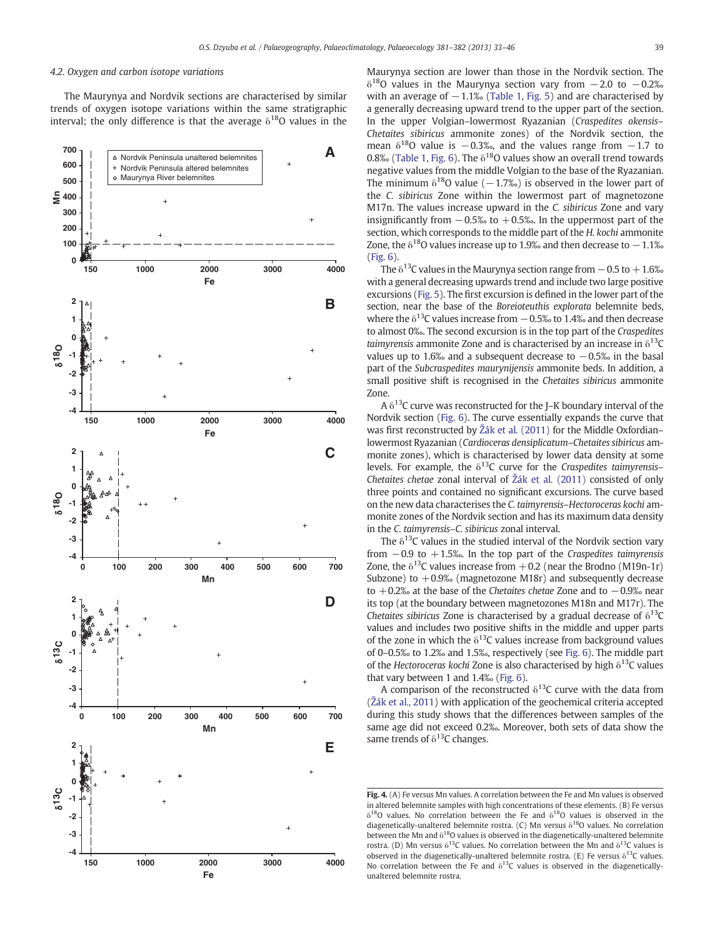#### <span id="page-6-0"></span>4.2. Oxygen and carbon isotope variations

The Maurynya and Nordvik sections are characterised by similar trends of oxygen isotope variations within the same stratigraphic interval; the only difference is that the average  $\delta^{18}$ O values in the



Maurynya section are lower than those in the Nordvik section. The  $\delta^{18}$ O values in the Maurynya section vary from  $-2.0$  to  $-0.2\%$ with an average of  $-1.1\%$  ([Table 1,](#page-5-0) [Fig. 5](#page-7-0)) and are characterised by a generally decreasing upward trend to the upper part of the section. In the upper Volgian–lowermost Ryazanian (Craspedites okensis– Chetaites sibiricus ammonite zones) of the Nordvik section, the mean  $\delta^{18}$ O value is −0.3‰, and the values range from −1.7 to 0.8‰ ([Table 1,](#page-5-0) [Fig. 6\)](#page-8-0). The  $\delta^{18}$ O values show an overall trend towards negative values from the middle Volgian to the base of the Ryazanian. The minimum  $\delta^{18}$ O value (−1.7‰) is observed in the lower part of the C. sibiricus Zone within the lowermost part of magnetozone M17n. The values increase upward in the C. sibiricus Zone and vary insignificantly from  $-0.5%$  to  $+0.5%$ . In the uppermost part of the section, which corresponds to the middle part of the H. kochi ammonite Zone, the  $\delta^{18}$ O values increase up to 1.9‰ and then decrease to  $-1.1$ ‰ [\(Fig. 6\)](#page-8-0).

The  $\delta^{13}$ C values in the Maurynya section range from  $-0.5$  to  $+1.6\%$ with a general decreasing upwards trend and include two large positive excursions [\(Fig. 5\)](#page-7-0). The first excursion is defined in the lower part of the section, near the base of the Boreioteuthis explorata belemnite beds, where the  $\delta^{13}$ C values increase from  $-0.5%$  to 1.4‰ and then decrease to almost 0‰. The second excursion is in the top part of the Craspedites *taimyrensis* ammonite Zone and is characterised by an increase in  $\delta^{13}$ C values up to 1.6‰ and a subsequent decrease to  $-0.5%$  in the basal part of the Subcraspedites maurynijensis ammonite beds. In addition, a small positive shift is recognised in the Chetaites sibiricus ammonite Zone.

A  $\delta^{13}$ C curve was reconstructed for the J–K boundary interval of the Nordvik section [\(Fig. 6](#page-8-0)). The curve essentially expands the curve that was first reconstructed by Ž[ák et al. \(2011\)](#page-12-0) for the Middle Oxfordian– lowermost Ryazanian (Cardioceras densiplicatum–Chetaites sibiricus ammonite zones), which is characterised by lower data density at some levels. For example, the  $\delta^{13}$ C curve for the Craspedites taimyrensis– Chetaites chetae zonal interval of Ž[ák et al. \(2011\)](#page-12-0) consisted of only three points and contained no significant excursions. The curve based on the new data characterises the C. taimyrensis–Hectoroceras kochi ammonite zones of the Nordvik section and has its maximum data density in the C. taimyrensis–C. sibiricus zonal interval.

The  $\delta^{13}$ C values in the studied interval of the Nordvik section vary from  $-0.9$  to  $+1.5$ ‰. In the top part of the Craspedites taimyrensis Zone, the  $\delta^{13}$ C values increase from  $+0.2$  (near the Brodno (M19n-1r) Subzone) to  $+0.9%$  (magnetozone M18r) and subsequently decrease to  $+0.2%$  at the base of the Chetaites chetae Zone and to  $-0.9%$  near its top (at the boundary between magnetozones M18n and M17r). The Chetaites sibiricus Zone is characterised by a gradual decrease of  $\delta^{13}$ C values and includes two positive shifts in the middle and upper parts of the zone in which the  $\delta^{13}$ C values increase from background values of 0–0.5‰ to 1.2‰ and 1.5‰, respectively (see [Fig. 6](#page-8-0)). The middle part of the Hectoroceras kochi Zone is also characterised by high  $\delta^{13}$ C values that vary between 1 and 1.4‰ [\(Fig. 6](#page-8-0)).

A comparison of the reconstructed  $\delta^{13}$ C curve with the data from (Ž[ák et al., 2011\)](#page-12-0) with application of the geochemical criteria accepted during this study shows that the differences between samples of the same age did not exceed 0.2‰. Moreover, both sets of data show the same trends of  $\delta^{13}$ C changes.

Fig. 4. (A) Fe versus Mn values. A correlation between the Fe and Mn values is observed in altered belemnite samples with high concentrations of these elements. (B) Fe versus  $\delta^{18}$ O values. No correlation between the Fe and  $\delta^{18}$ O values is observed in the diagenetically-unaltered belemnite rostra. (C) Mn versus  $\delta^{18}O$  values. No correlation between the Mn and  $\delta^{18}$ O values is observed in the diagenetically-unaltered belemnite rostra. (D) Mn versus  $\delta^{13}$ C values. No correlation between the Mn and  $\delta^{13}$ C values is observed in the diagenetically-unaltered belemnite rostra. (E) Fe versus  $\delta^{13}$ C values. No correlation between the Fe and  $\delta^{13}$ C values is observed in the diageneticallyunaltered belemnite rostra.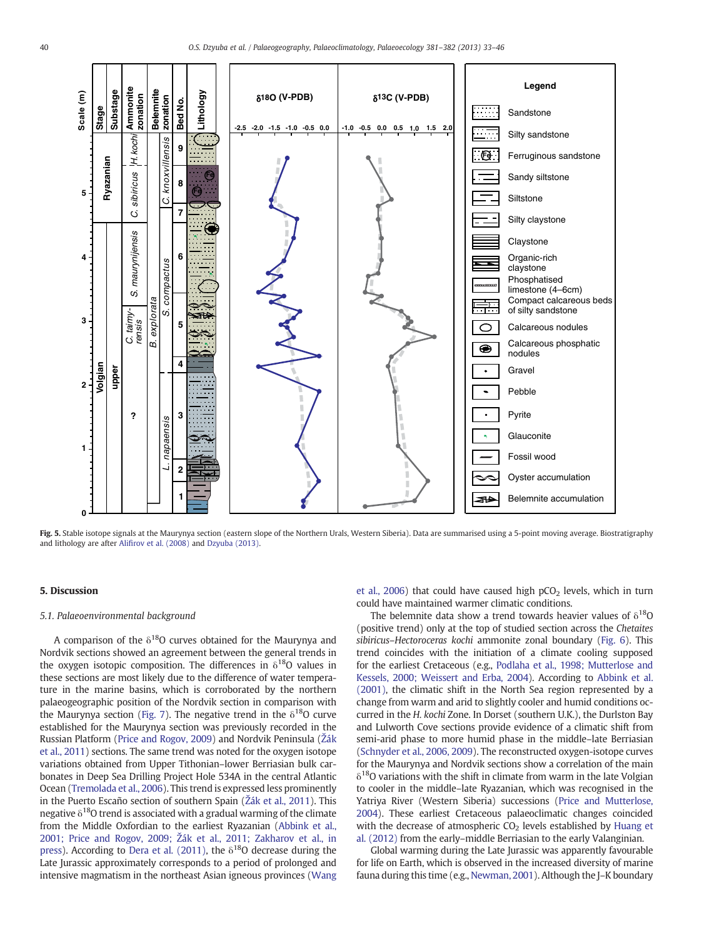<span id="page-7-0"></span>

Fig. 5. Stable isotope signals at the Maurynya section (eastern slope of the Northern Urals, Western Siberia). Data are summarised using a 5-point moving average. Biostratigraphy and lithology are after Alifi[rov et al. \(2008\)](#page-11-0) and [Dzyuba \(2013\)](#page-11-0).

#### 5. Discussion

#### 5.1. Palaeoenvironmental background

A comparison of the  $\delta^{18}$ O curves obtained for the Maurynya and Nordvik sections showed an agreement between the general trends in the oxygen isotopic composition. The differences in  $\delta^{18}O$  values in these sections are most likely due to the difference of water temperature in the marine basins, which is corroborated by the northern palaeogeographic position of the Nordvik section in comparison with the Maurynya section ([Fig. 7\)](#page-9-0). The negative trend in the  $\delta^{18}O$  curve established for the Maurynya section was previously recorded in the Russian Platform ([Price and Rogov, 2009](#page-12-0)) and Nordvik Peninsula (Ž[ák](#page-12-0) [et al., 2011](#page-12-0)) sections. The same trend was noted for the oxygen isotope variations obtained from Upper Tithonian–lower Berriasian bulk carbonates in Deep Sea Drilling Project Hole 534A in the central Atlantic Ocean ([Tremolada et al., 2006\)](#page-12-0). This trend is expressed less prominently in the Puerto Escaño section of southern Spain (Ž[ák et al., 2011](#page-12-0)). This negative  $\delta^{18}$ O trend is associated with a gradual warming of the climate from the Middle Oxfordian to the earliest Ryazanian ([Abbink et al.,](#page-11-0) 2001; Price and Rogov, 2009; Ž[ák et al., 2011; Zakharov et al., in](#page-11-0) [press](#page-11-0)). According to [Dera et al. \(2011\)](#page-11-0), the  $\delta^{18}$ O decrease during the Late Jurassic approximately corresponds to a period of prolonged and intensive magmatism in the northeast Asian igneous provinces ([Wang](#page-12-0) [et al., 2006](#page-12-0)) that could have caused high  $pCO<sub>2</sub>$  levels, which in turn could have maintained warmer climatic conditions.

The belemnite data show a trend towards heavier values of  $\delta^{18}O$ (positive trend) only at the top of studied section across the Chetaites sibiricus–Hectoroceras kochi ammonite zonal boundary ([Fig. 6](#page-8-0)). This trend coincides with the initiation of a climate cooling supposed for the earliest Cretaceous (e.g., [Podlaha et al., 1998; Mutterlose and](#page-12-0) [Kessels, 2000; Weissert and Erba, 2004](#page-12-0)). According to [Abbink et al.](#page-11-0) [\(2001\)](#page-11-0), the climatic shift in the North Sea region represented by a change from warm and arid to slightly cooler and humid conditions occurred in the H. kochi Zone. In Dorset (southern U.K.), the Durlston Bay and Lulworth Cove sections provide evidence of a climatic shift from semi-arid phase to more humid phase in the middle–late Berriasian [\(Schnyder et al., 2006, 2009\)](#page-12-0). The reconstructed oxygen-isotope curves for the Maurynya and Nordvik sections show a correlation of the main  $\delta^{18}$ O variations with the shift in climate from warm in the late Volgian to cooler in the middle–late Ryazanian, which was recognised in the Yatriya River (Western Siberia) successions ([Price and Mutterlose,](#page-12-0) [2004\)](#page-12-0). These earliest Cretaceous palaeoclimatic changes coincided with the decrease of atmospheric  $CO<sub>2</sub>$  levels established by [Huang et](#page-11-0) [al. \(2012\)](#page-11-0) from the early–middle Berriasian to the early Valanginian.

Global warming during the Late Jurassic was apparently favourable for life on Earth, which is observed in the increased diversity of marine fauna during this time (e.g., [Newman, 2001\)](#page-11-0). Although the J–K boundary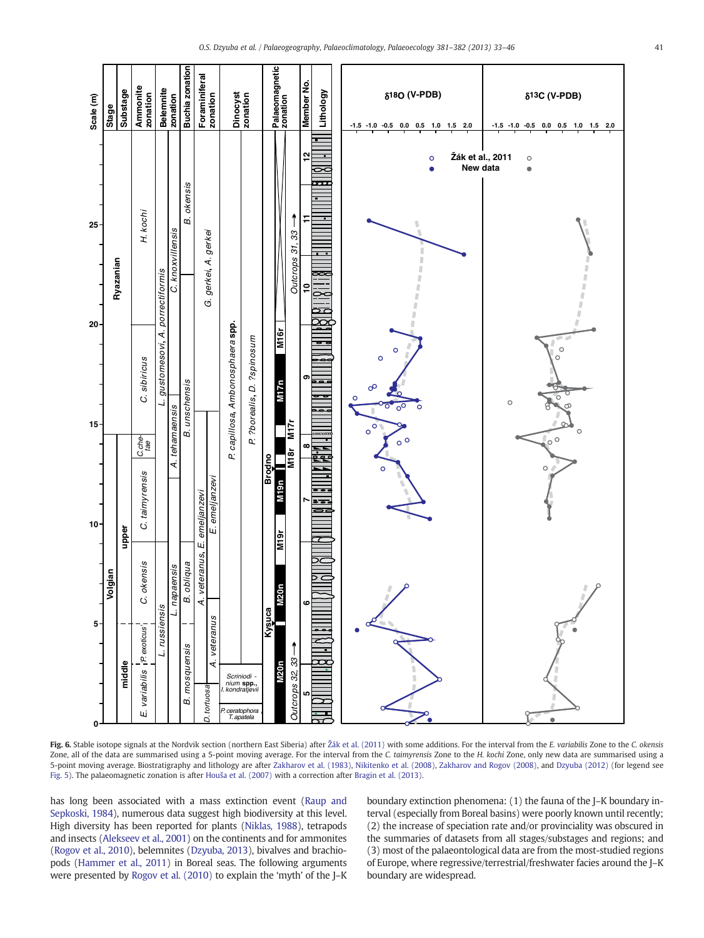<span id="page-8-0"></span>

Fig. 6. Stable isotope signals at the Nordvik section (northern East Siberia) after Ž[ák et al. \(2011\)](#page-12-0) with some additions. For the interval from the E. variabilis Zone to the C. okensis Zone, all of the data are summarised using a 5-point moving average. For the interval from the C. taimyrensis Zone to the H. kochi Zone, only new data are summarised using a 5-point moving average. Biostratigraphy and lithology are after [Zakharov et al. \(1983\)](#page-13-0), [Nikitenko et al. \(2008\)](#page-12-0), [Zakharov and Rogov \(2008\)](#page-13-0), and [Dzyuba \(2012\)](#page-11-0) (for legend see [Fig. 5](#page-7-0)). The palaeomagnetic zonation is after Houš[a et al. \(2007\)](#page-11-0) with a correction after [Bragin et al. \(2013\)](#page-11-0).

has long been associated with a mass extinction event [\(Raup and](#page-12-0) [Sepkoski, 1984\)](#page-12-0), numerous data suggest high biodiversity at this level. High diversity has been reported for plants [\(Niklas, 1988\)](#page-12-0), tetrapods and insects [\(Alekseev et al., 2001](#page-11-0)) on the continents and for ammonites [\(Rogov et al., 2010](#page-12-0)), belemnites ([Dzyuba, 2013\)](#page-11-0), bivalves and brachiopods [\(Hammer et al., 2011](#page-11-0)) in Boreal seas. The following arguments were presented by [Rogov et al. \(2010\)](#page-12-0) to explain the 'myth' of the J–K boundary extinction phenomena: (1) the fauna of the J–K boundary interval (especially from Boreal basins) were poorly known until recently; (2) the increase of speciation rate and/or provinciality was obscured in the summaries of datasets from all stages/substages and regions; and (3) most of the palaeontological data are from the most-studied regions of Europe, where regressive/terrestrial/freshwater facies around the J–K boundary are widespread.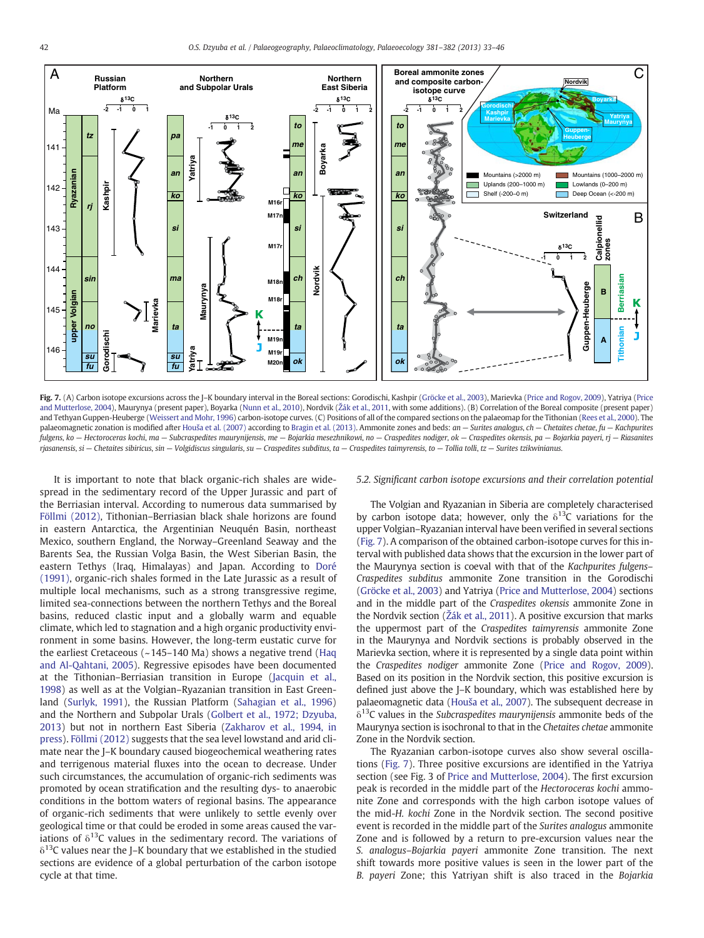<span id="page-9-0"></span>

Fig. 7. (A) Carbon isotope excursions across the J–K boundary interval in the Boreal sections: Gorodischi, Kashpir [\(Gröcke et al., 2003](#page-11-0)), Marievka [\(Price and Rogov, 2009\)](#page-12-0), Yatriya ([Price](#page-12-0) [and Mutterlose, 2004](#page-12-0)), Maurynya (present paper), Boyarka [\(Nunn et al., 2010](#page-12-0)), Nordvik (Ž[ák et al., 2011,](#page-12-0) with some additions). (B) Correlation of the Boreal composite (present paper) and Tethyan Guppen-Heuberge [\(Weissert and Mohr, 1996](#page-12-0)) carbon-isotope curves. (C) Positions of all of the compared sections on the palaeomap for the Tithonian [\(Rees et al., 2000\)](#page-12-0). The palaeomagnetic zonation is modified after Houš[a et al. \(2007\)](#page-11-0) according to [Bragin et al. \(2013\)](#page-11-0). Ammonite zones and beds: an - Surites analogus, ch - Chetaites chetae, fu - Kachpurites fulgens, ko — Hectoroceras kochi, ma — Subcraspedites maurynijensis, me — Bojarkia mesezhnikowi, no — Craspedites nodiger, ok — Craspedites okensis, pa — Bojarkia payeri, rj — Riasanites rjasanensis, si — Chetaites sibiricus, sin — Volgidiscus singularis, su — Craspedites subditus, ta — Craspedites taimyrensis, to — Tollia tolli, tz — Surites tzikwinianus.

It is important to note that black organic-rich shales are widespread in the sedimentary record of the Upper Jurassic and part of the Berriasian interval. According to numerous data summarised by [Föllmi \(2012\)](#page-11-0), Tithonian–Berriasian black shale horizons are found in eastern Antarctica, the Argentinian Neuquén Basin, northeast Mexico, southern England, the Norway–Greenland Seaway and the Barents Sea, the Russian Volga Basin, the West Siberian Basin, the eastern Tethys (Iraq, Himalayas) and Japan. According to [Doré](#page-11-0) [\(1991\),](#page-11-0) organic-rich shales formed in the Late Jurassic as a result of multiple local mechanisms, such as a strong transgressive regime, limited sea-connections between the northern Tethys and the Boreal basins, reduced clastic input and a globally warm and equable climate, which led to stagnation and a high organic productivity environment in some basins. However, the long-term eustatic curve for the earliest Cretaceous (~145–140 Ma) shows a negative trend [\(Haq](#page-11-0) [and Al-Qahtani, 2005](#page-11-0)). Regressive episodes have been documented at the Tithonian–Berriasian transition in Europe ([Jacquin et al.,](#page-11-0) [1998\)](#page-11-0) as well as at the Volgian–Ryazanian transition in East Greenland [\(Surlyk, 1991\)](#page-12-0), the Russian Platform [\(Sahagian et al., 1996](#page-12-0)) and the Northern and Subpolar Urals ([Golbert et al., 1972; Dzyuba,](#page-11-0) [2013\)](#page-11-0) but not in northern East Siberia ([Zakharov et al., 1994, in](#page-13-0) [press\)](#page-13-0). [Föllmi \(2012\)](#page-11-0) suggests that the sea level lowstand and arid climate near the J–K boundary caused biogeochemical weathering rates and terrigenous material fluxes into the ocean to decrease. Under such circumstances, the accumulation of organic-rich sediments was promoted by ocean stratification and the resulting dys- to anaerobic conditions in the bottom waters of regional basins. The appearance of organic-rich sediments that were unlikely to settle evenly over geological time or that could be eroded in some areas caused the variations of  $\delta^{13}$ C values in the sedimentary record. The variations of  $\delta^{13}$ C values near the J–K boundary that we established in the studied sections are evidence of a global perturbation of the carbon isotope cycle at that time.

#### 5.2. Significant carbon isotope excursions and their correlation potential

The Volgian and Ryazanian in Siberia are completely characterised by carbon isotope data; however, only the  $\delta^{13}$ C variations for the upper Volgian–Ryazanian interval have been verified in several sections (Fig. 7). A comparison of the obtained carbon-isotope curves for this interval with published data shows that the excursion in the lower part of the Maurynya section is coeval with that of the Kachpurites fulgens– Craspedites subditus ammonite Zone transition in the Gorodischi [\(Gröcke et al., 2003](#page-11-0)) and Yatriya ([Price and Mutterlose, 2004\)](#page-12-0) sections and in the middle part of the Craspedites okensis ammonite Zone in the Nordvik section (Ž[ák et al., 2011\)](#page-12-0). A positive excursion that marks the uppermost part of the Craspedites taimyrensis ammonite Zone in the Maurynya and Nordvik sections is probably observed in the Marievka section, where it is represented by a single data point within the Craspedites nodiger ammonite Zone [\(Price and Rogov, 2009\)](#page-12-0). Based on its position in the Nordvik section, this positive excursion is defined just above the J–K boundary, which was established here by palaeomagnetic data (Houš[a et al., 2007\)](#page-11-0). The subsequent decrease in  $\delta^{13}$ C values in the Subcraspedites maurynijensis ammonite beds of the Maurynya section is isochronal to that in the Chetaites chetae ammonite Zone in the Nordvik section.

The Ryazanian carbon-isotope curves also show several oscillations (Fig. 7). Three positive excursions are identified in the Yatriya section (see Fig. 3 of [Price and Mutterlose, 2004](#page-12-0)). The first excursion peak is recorded in the middle part of the Hectoroceras kochi ammonite Zone and corresponds with the high carbon isotope values of the mid-H. kochi Zone in the Nordvik section. The second positive event is recorded in the middle part of the Surites analogus ammonite Zone and is followed by a return to pre-excursion values near the S. analogus–Bojarkia payeri ammonite Zone transition. The next shift towards more positive values is seen in the lower part of the B. payeri Zone; this Yatriyan shift is also traced in the Bojarkia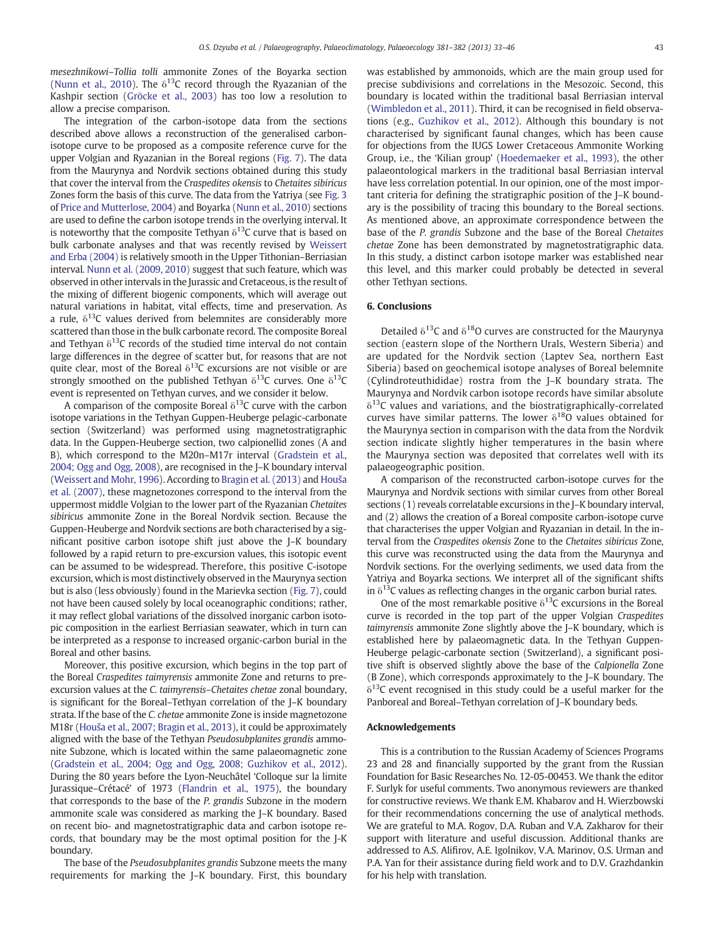mesezhnikowi–Tollia tolli ammonite Zones of the Boyarka section [\(Nunn et al., 2010\)](#page-12-0). The  $\delta^{13}$ C record through the Ryazanian of the Kashpir section ([Gröcke et al., 2003](#page-11-0)) has too low a resolution to allow a precise comparison.

The integration of the carbon-isotope data from the sections described above allows a reconstruction of the generalised carbonisotope curve to be proposed as a composite reference curve for the upper Volgian and Ryazanian in the Boreal regions [\(Fig. 7\)](#page-9-0). The data from the Maurynya and Nordvik sections obtained during this study that cover the interval from the Craspedites okensis to Chetaites sibiricus Zones form the basis of this curve. The data from the Yatriya (see [Fig. 3](#page-4-0) of [Price and Mutterlose, 2004\)](#page-12-0) and Boyarka [\(Nunn et al., 2010\)](#page-12-0) sections are used to define the carbon isotope trends in the overlying interval. It is noteworthy that the composite Tethyan  $\delta^{13}$ C curve that is based on bulk carbonate analyses and that was recently revised by [Weissert](#page-12-0) [and Erba \(2004\)](#page-12-0) is relatively smooth in the Upper Tithonian–Berriasian interval. [Nunn et al. \(2009, 2010\)](#page-12-0) suggest that such feature, which was observed in other intervals in the Jurassic and Cretaceous, is the result of the mixing of different biogenic components, which will average out natural variations in habitat, vital effects, time and preservation. As a rule,  $\delta^{13}$ C values derived from belemnites are considerably more scattered than those in the bulk carbonate record. The composite Boreal and Tethyan  $\delta^{13}$ C records of the studied time interval do not contain large differences in the degree of scatter but, for reasons that are not quite clear, most of the Boreal  $\delta^{13}$ C excursions are not visible or are strongly smoothed on the published Tethyan  $\delta^{13}$ C curves. One  $\delta^{13}$ C event is represented on Tethyan curves, and we consider it below.

A comparison of the composite Boreal  $\delta^{13}$ C curve with the carbon isotope variations in the Tethyan Guppen-Heuberge pelagic-carbonate section (Switzerland) was performed using magnetostratigraphic data. In the Guppen-Heuberge section, two calpionellid zones (A and B), which correspond to the M20n–M17r interval [\(Gradstein et al.,](#page-11-0) [2004; Ogg and Ogg, 2008](#page-11-0)), are recognised in the J–K boundary interval [\(Weissert and Mohr, 1996\)](#page-12-0). According to [Bragin et al. \(2013\)](#page-11-0) and [Hou](#page-11-0)ša [et al. \(2007\),](#page-11-0) these magnetozones correspond to the interval from the uppermost middle Volgian to the lower part of the Ryazanian Chetaites sibiricus ammonite Zone in the Boreal Nordvik section. Because the Guppen-Heuberge and Nordvik sections are both characterised by a significant positive carbon isotope shift just above the J–K boundary followed by a rapid return to pre-excursion values, this isotopic event can be assumed to be widespread. Therefore, this positive C-isotope excursion, which is most distinctively observed in the Maurynya section but is also (less obviously) found in the Marievka section [\(Fig. 7\)](#page-9-0), could not have been caused solely by local oceanographic conditions; rather, it may reflect global variations of the dissolved inorganic carbon isotopic composition in the earliest Berriasian seawater, which in turn can be interpreted as a response to increased organic-carbon burial in the Boreal and other basins.

Moreover, this positive excursion, which begins in the top part of the Boreal Craspedites taimyrensis ammonite Zone and returns to preexcursion values at the C. taimyrensis–Chetaites chetae zonal boundary, is significant for the Boreal–Tethyan correlation of the J–K boundary strata. If the base of the C. chetae ammonite Zone is inside magnetozone M18r (Houš[a et al., 2007; Bragin et al., 2013](#page-11-0)), it could be approximately aligned with the base of the Tethyan Pseudosubplanites grandis ammonite Subzone, which is located within the same palaeomagnetic zone [\(Gradstein et al., 2004; Ogg and Ogg, 2008; Guzhikov et al., 2012](#page-11-0)). During the 80 years before the Lyon-Neuchâtel 'Colloque sur la limite Jurassique–Crétacé' of 1973 [\(Flandrin et al., 1975\)](#page-11-0), the boundary that corresponds to the base of the P. grandis Subzone in the modern ammonite scale was considered as marking the J–K boundary. Based on recent bio- and magnetostratigraphic data and carbon isotope records, that boundary may be the most optimal position for the J-K boundary.

The base of the Pseudosubplanites grandis Subzone meets the many requirements for marking the J–K boundary. First, this boundary was established by ammonoids, which are the main group used for precise subdivisions and correlations in the Mesozoic. Second, this boundary is located within the traditional basal Berriasian interval [\(Wimbledon et al., 2011](#page-12-0)). Third, it can be recognised in field observations (e.g., [Guzhikov et al., 2012](#page-11-0)). Although this boundary is not characterised by significant faunal changes, which has been cause for objections from the IUGS Lower Cretaceous Ammonite Working Group, i.e., the 'Kilian group' ([Hoedemaeker et al., 1993\)](#page-11-0), the other palaeontological markers in the traditional basal Berriasian interval have less correlation potential. In our opinion, one of the most important criteria for defining the stratigraphic position of the J–K boundary is the possibility of tracing this boundary to the Boreal sections. As mentioned above, an approximate correspondence between the base of the P. grandis Subzone and the base of the Boreal Chetaites chetae Zone has been demonstrated by magnetostratigraphic data. In this study, a distinct carbon isotope marker was established near this level, and this marker could probably be detected in several other Tethyan sections.

#### 6. Conclusions

Detailed  $\delta^{13}$ C and  $\delta^{18}$ O curves are constructed for the Maurynya section (eastern slope of the Northern Urals, Western Siberia) and are updated for the Nordvik section (Laptev Sea, northern East Siberia) based on geochemical isotope analyses of Boreal belemnite (Cylindroteuthididae) rostra from the J–K boundary strata. The Maurynya and Nordvik carbon isotope records have similar absolute  $\delta^{13}$ C values and variations, and the biostratigraphically-correlated curves have similar patterns. The lower  $\delta^{18}$ O values obtained for the Maurynya section in comparison with the data from the Nordvik section indicate slightly higher temperatures in the basin where the Maurynya section was deposited that correlates well with its palaeogeographic position.

A comparison of the reconstructed carbon-isotope curves for the Maurynya and Nordvik sections with similar curves from other Boreal sections (1) reveals correlatable excursions in the J–K boundary interval, and (2) allows the creation of a Boreal composite carbon-isotope curve that characterises the upper Volgian and Ryazanian in detail. In the interval from the Craspedites okensis Zone to the Chetaites sibiricus Zone, this curve was reconstructed using the data from the Maurynya and Nordvik sections. For the overlying sediments, we used data from the Yatriya and Boyarka sections. We interpret all of the significant shifts in  $\delta^{13}$ C values as reflecting changes in the organic carbon burial rates.

One of the most remarkable positive  $\delta^{13}$ C excursions in the Boreal curve is recorded in the top part of the upper Volgian Craspedites taimyrensis ammonite Zone slightly above the J–K boundary, which is established here by palaeomagnetic data. In the Tethyan Guppen-Heuberge pelagic-carbonate section (Switzerland), a significant positive shift is observed slightly above the base of the Calpionella Zone (B Zone), which corresponds approximately to the J–K boundary. The  $\delta^{13}$ C event recognised in this study could be a useful marker for the Panboreal and Boreal–Tethyan correlation of J–K boundary beds.

#### Acknowledgements

This is a contribution to the Russian Academy of Sciences Programs 23 and 28 and financially supported by the grant from the Russian Foundation for Basic Researches No. 12-05-00453. We thank the editor F. Surlyk for useful comments. Two anonymous reviewers are thanked for constructive reviews. We thank E.M. Khabarov and H. Wierzbowski for their recommendations concerning the use of analytical methods. We are grateful to M.A. Rogov, D.A. Ruban and V.A. Zakharov for their support with literature and useful discussion. Additional thanks are addressed to A.S. Alifirov, A.E. Igolnikov, V.A. Marinov, O.S. Urman and P.A. Yan for their assistance during field work and to D.V. Grazhdankin for his help with translation.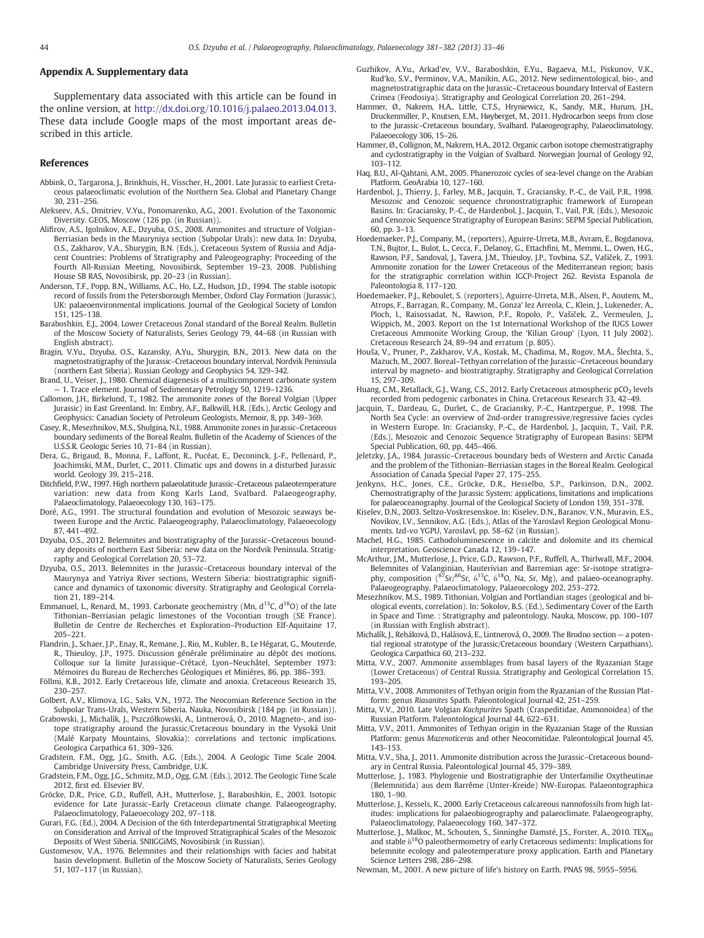#### <span id="page-11-0"></span>Appendix A. Supplementary data

Supplementary data associated with this article can be found in the online version, at [http://dx.doi.org/10.1016/j.palaeo.2013.04.013.](http://dx.doi.org/10.1016/j.palaeo.2013.04.013) These data include Google maps of the most important areas described in this article.

#### References

- Abbink, O., Targarona, J., Brinkhuis, H., Visscher, H., 2001. Late Jurassic to earliest Cretaceous palaeoclimatic evolution of the Northern Sea. Global and Planetary Change 30, 231–256.
- Alekseev, A.S., Dmitriev, V.Yu., Ponomarenko, A.G., 2001. Evolution of the Taxonomic Diversity. GEOS, Moscow (126 pp. (in Russian)).
- Alifirov, A.S., Igolnikov, A.E., Dzyuba, O.S., 2008. Ammonites and structure of Volgian– Berriasian beds in the Mauryniya section (Subpolar Urals): new data. In: Dzyuba, O.S., Zakharov, V.A., Shurygin, B.N. (Eds.), Cretaceous System of Russia and Adjacent Countries: Problems of Stratigraphy and Paleogeography: Proceeding of the Fourth All-Russian Meeting, Novosibirsk, September 19–23, 2008. Publishing House SB RAS, Novosibirsk, pp. 20–23 (in Russian).
- Anderson, T.F., Popp, B.N., Williams, A.C., Ho, L.Z., Hudson, J.D., 1994. The stable isotopic record of fossils from the Petersborough Member, Oxford Clay Formation (Jurassic), UK: palaeoenvironmental implications. Journal of the Geological Society of London 151, 125–138.
- Baraboshkin, E.J., 2004. Lower Cretaceous Zonal standard of the Boreal Realm. Bulletin of the Moscow Society of Naturalists, Series Geology 79, 44–68 (in Russian with English abstract).
- Bragin, V.Yu., Dzyuba, O.S., Kazansky, A.Yu., Shurygin, B.N., 2013. New data on the magnetostratigraphy of the Jurassic–Cretaceous boundary interval, Nordvik Peninsula (northern East Siberia). Russian Geology and Geophysics 54, 329–342.
- Brand, U., Veiser, J., 1980. Chemical diagenesis of a multicomponent carbonate system — 1. Trace element. Journal of Sedimentary Petrology 50, 1219–1236.
- Callomon, J.H., Birkelund, T., 1982. The ammonite zones of the Boreal Volgian (Upper Jurassic) in East Greenland. In: Embry, A.F., Balkwill, H.R. (Eds.), Arctic Geology and Geophysics: Canadian Society of Petroleum Geologists, Memoir, 8, pp. 349–369.
- Casey, R., Mesezhnikov, M.S., Shulgina, N.I., 1988. Ammonite zones in Jurassic–Cretaceous boundary sediments of the Boreal Realm. Bulletin of the Academy of Sciences of the U.S.S.R. Geologic Series 10, 71–84 (in Russian).
- Dera, G., Brigaud, B., Monna, F., Laffont, R., Pucéat, E., Deconinck, J.-F., Pellenard, P., Joachimski, M.M., Durlet, C., 2011. Climatic ups and downs in a disturbed Jurassic world. Geology 39, 215–218.
- Ditchfield, P.W., 1997. High northern palaeolatitude Jurassic–Cretaceous palaeotemperature variation: new data from Kong Karls Land, Svalbard. Palaeogeography, Palaeoclimatology, Palaeoecology 130, 163–175.
- Doré, A.G., 1991. The structural foundation and evolution of Mesozoic seaways between Europe and the Arctic. Palaeogeography, Palaeoclimatology, Palaeoecology 87, 441–492.
- Dzyuba, O.S., 2012. Belemnites and biostratigraphy of the Jurassic–Cretaceous boundary deposits of northern East Siberia: new data on the Nordvik Peninsula. Stratigraphy and Geological Correlation 20, 53–72.
- Dzyuba, O.S., 2013. Belemnites in the Jurassic–Cretaceous boundary interval of the Maurynya and Yatriya River sections, Western Siberia: biostratigraphic significance and dynamics of taxonomic diversity. Stratigraphy and Geological Correlation 21, 189–214.
- Emmanuel, L., Renard, M., 1993. Carbonate geochemistry (Mn,  $d^{13}C$ ,  $d^{18}O$ ) of the late Tithonian–Berriasian pelagic limestones of the Vocontian trough (SE France). Bulletin de Centre de Recherches et Exploration–Production Elf-Aquitaine 17, 205–221.
- Flandrin, J., Schaer, J.P., Enay, R., Remane, J., Rio, M., Kubler, B., Le Hégarat, G., Mouterde, R., Thieuloy, J.P., 1975. Discussion générale préliminaire au dépôt des motions. Colloque sur la limite Jurassique–Crétacé, Lyon–Neuchâtel, September 1973: Mémoires du Bureau de Recherches Géologiques et Miniéres, 86, pp. 386–393.
- Föllmi, K.B., 2012. Early Cretaceous life, climate and anoxia. Cretaceous Research 35, 230–257.
- Golbert, A.V., Klimova, I.G., Saks, V.N., 1972. The Neocomian Reference Section in the Subpolar Trans-Urals, Western Siberia. Nauka, Novosibirsk (184 pp. (in Russian)).
- Grabowski, J., Michalík, J., Pszczółkowski, A., Lintnerová, O., 2010. Magneto-, and isotope stratigraphy around the Jurassic/Cretaceous boundary in the Vysoká Unit (Malé Karpaty Mountains, Slovakia): correlations and tectonic implications. Geologica Carpathica 61, 309–326.
- Gradstein, F.M., Ogg, J.G., Smith, A.G. (Eds.), 2004. A Geologic Time Scale 2004. Cambridge University Press, Cambridge, U.K.
- Gradstein, F.M., Ogg, J.G., Schmitz, M.D., Ogg, G.M. (Eds.), 2012. The Geologic Time Scale 2012, first ed. Elsevier BV.
- Gröcke, D.R., Price, G.D., Ruffell, A.H., Mutterlose, J., Baraboshkin, E., 2003. Isotopic evidence for Late Jurassic–Early Cretaceous climate change. Palaeogeography, Palaeoclimatology, Palaeoecology 202, 97–118.
- Gurari, F.G. (Ed.), 2004. A Decision of the 6th Interdepartmental Stratigraphical Meeting on Consideration and Arrival of the Improved Stratigraphical Scales of the Mesozoic Deposits of West Siberia. SNIIGGiMS, Novosibirsk (in Russian).
- Gustomesov, V.A., 1976. Belemnites and their relationships with facies and habitat basin development. Bulletin of the Moscow Society of Naturalists, Series Geology 51, 107–117 (in Russian).
- Guzhikov, A.Yu., Arkad'ev, V.V., Baraboshkin, E.Yu., Bagaeva, M.I., Piskunov, V.K., Rud'ko, S.V., Perminov, V.A., Manikin, A.G., 2012. New sedimentological, bio-, and magnetostratigraphic data on the Jurassic–Cretaceous boundary Interval of Eastern Crimea (Feodosiya). Stratigraphy and Geological Correlation 20, 261–294.
- Hammer, Ø., Nakrem, H.A., Little, C.T.S., Hryniewicz, K., Sandy, M.R., Hurum, J.H., Druckenmiller, P., Knutsen, E.M., Høyberget, M., 2011. Hydrocarbon seeps from close to the Jurassic–Cretaceous boundary, Svalbard. Palaeogeography, Palaeoclimatology, Palaeoecology 306, 15–26.
- Hammer, Ø., Collignon, M., Nakrem, H.A., 2012. Organic carbon isotope chemostratigraphy and cyclostratigraphy in the Volgian of Svalbard. Norwegian Journal of Geology 92, 103–112.
- Haq, B.U., Al-Qahtani, A.M., 2005. Phanerozoic cycles of sea-level change on the Arabian Platform. GeoArabia 10, 127–160.
- Hardenbol, J., Thierry, J., Farley, M.B., Jacquin, T., Graciansky, P.-C., de Vail, P.R., 1998. Mesozoic and Cenozoic sequence chronostratigraphic framework of European Basins. In: Graciansky, P.-C., de Hardenbol, J., Jacquin, T., Vail, P.R. (Eds.), Mesozoic and Cenozoic Sequence Stratigraphy of European Basins: SEPM Special Publication, 60, pp. 3–13.
- Hoedemaeker, P.J., Company, M., (reporters), Aguirre-Urreta, M.B., Avram, E., Bogdanova, T.N., Bujtor, L., Bulot, L., Cecca, F., Delanoy, G., Ettachfini, M., Memmi, L., Owen, H.G., Rawson, P.F., Sandoval, J., Tavera, J.M., Thieuloy, J.P., Tovbina, S.Z., Vašiček, Z., 1993. Ammonite zonation for the Lower Cretaceous of the Mediterranean region; basis for the stratigraphic correlation within IGCP-Project 262. Revista Espanola de Paleontologia 8, 117–120.
- Hoedemaeker, P.J., Reboulet, S. (reporters), Aguirre-Urreta, M.B., Alsen, P., Aoutem, M., Atrops, F., Barragan, R., Company, M., Gonza' lez Arreola, C., Klein, J., Lukeneder, A., Ploch, I., Raisossadat, N., Rawson, P.F., Ropolo, P., Vašiček, Z., Vermeulen, J., Wippich, M., 2003. Report on the 1st International Workshop of the IUGS Lower Cretaceous Ammonite Working Group, the 'Kilian Group' (Lyon, 11 July 2002). Cretaceous Research 24, 89–94 and erratum (p. 805).
- Houša, V., Pruner, P., Zakharov, V.A., Kostak, M., Chadima, M., Rogov, M.A., Šlechta, S., Mazuch, M., 2007. Boreal–Tethyan correlation of the Jurassic–Cretaceous boundary interval by magneto- and biostratigraphy. Stratigraphy and Geological Correlation 15, 297–309.
- Huang, C.M., Retallack, G.J., Wang, C.S., 2012. Early Cretaceous atmospheric pCO<sub>2</sub> levels recorded from pedogenic carbonates in China. Cretaceous Research 33, 42–49.
- Jacquin, T., Dardeau, G., Durlet, C., de Graciansky, P.-C., Hantzpergue, P., 1998. The North Sea Cycle: an overview of 2nd-order transgressive/regressive facies cycles in Western Europe. In: Graciansky, P.-C., de Hardenbol, J., Jacquin, T., Vail, P.R. (Eds.), Mesozoic and Cenozoic Sequence Stratigraphy of European Basins: SEPM Special Publication, 60, pp. 445–466.
- Jeletzky, J.A., 1984. Jurassic–Cretaceous boundary beds of Western and Arctic Canada and the problem of the Tithonian–Berriasian stages in the Boreal Realm. Geological Association of Canada Special Paper 27, 175–255.
- Jenkyns, H.C., Jones, C.E., Gröcke, D.R., Hesselbo, S.P., Parkinson, D.N., 2002. Chemostratigraphy of the Jurassic System: applications, limitations and implications for palaeoceanography. Journal of the Geological Society of London 159, 351–378.
- Kiselev, D.N., 2003. Seltzo-Voskresenskoe. In: Kiselev, D.N., Baranov, V.N., Muravin, E.S., Novikov, I.V., Sennikov, A.G. (Eds.), Atlas of the Yaroslavl Region Geological Monuments. Izd-vo YGPU, Yaroslavl, pp. 58–62 (in Russian).
- Machel, H.G., 1985. Cathodoluminescence in calcite and dolomite and its chemical interpretation. Geoscience Canada 12, 139–147.
- McArthur, J.M., Mutterlose, J., Price, G.D., Rawson, P.F., Ruffell, A., Thirlwall, M.F., 2004. Belemnites of Valanginian, Hauterivian and Barremian age: Sr-isotope stratigraphy, composition ( $87$ Sr/ $86$ Sr,  $\delta^{13}$ C,  $\delta^{18}$ O, Na, Sr, Mg), and palaeo-oceanography. Palaeogeography, Palaeoclimatology, Palaeoecology 202, 253–272.
- Mesezhnikov, M.S., 1989. Tithonian, Volgian and Portlandian stages (geological and biological events, correlation). In: Sokolov, B.S. (Ed.), Sedimentary Cover of the Earth in Space and Time. : Stratigraphy and paleontology. Nauka, Moscow, pp. 100–107 (in Russian with English abstract).
- Michalík, J., Reháková, D., Halásová, E., Lintnerová, O., 2009. The Brodno section a potential regional stratotype of the Jurassic/Cretaceous boundary (Western Carpathians). Geologica Carpathica 60, 213–232.
- Mitta, V.V., 2007. Ammonite assemblages from basal layers of the Ryazanian Stage (Lower Cretaceous) of Central Russia. Stratigraphy and Geological Correlation 15, 193–205.
- Mitta, V.V., 2008. Ammonites of Tethyan origin from the Ryazanian of the Russian Platform: genus Riasanites Spath. Paleontological Journal 42, 251–259.
- Mitta, V.V., 2010. Late Volgian Kachpurites Spath (Craspeditidae, Ammonoidea) of the Russian Platform. Paleontological Journal 44, 622–631.
- Mitta, V.V., 2011. Ammonites of Tethyan origin in the Ryazanian Stage of the Russian Platform: genus Mazenoticeras and other Neocomitidae. Paleontological Journal 45, 143–153.
- Mitta, V.V., Sha, J., 2011. Ammonite distribution across the Jurassic–Cretaceous boundary in Central Russia. Paleontological Journal 45, 379–389.
- Mutterlose, J., 1983. Phylogenie und Biostratigraphie der Unterfamilie Oxytheutinae (Belemnitida) aus dem Barrême (Unter-Kreide) NW-Europas. Palaeontographica 180, 1–90.
- Mutterlose, J., Kessels, K., 2000. Early Cretaceous calcareous nannofossils from high latitudes: implications for palaeobiogeography and palaeoclimate. Palaeogeography, Palaeoclimatology, Palaeoecology 160, 347–372.
- Mutterlose, J., Malkoc, M., Schouten, S., Sinninghe Damsté, J.S., Forster, A., 2010. TEX86 and stable  $\delta^{18}$ O paleothermometry of early Cretaceous sediments: Implications for belemnite ecology and paleotemperature proxy application. Earth and Planetary Science Letters 298, 286–298.
- Newman, M., 2001. A new picture of life's history on Earth. PNAS 98, 5955–5956.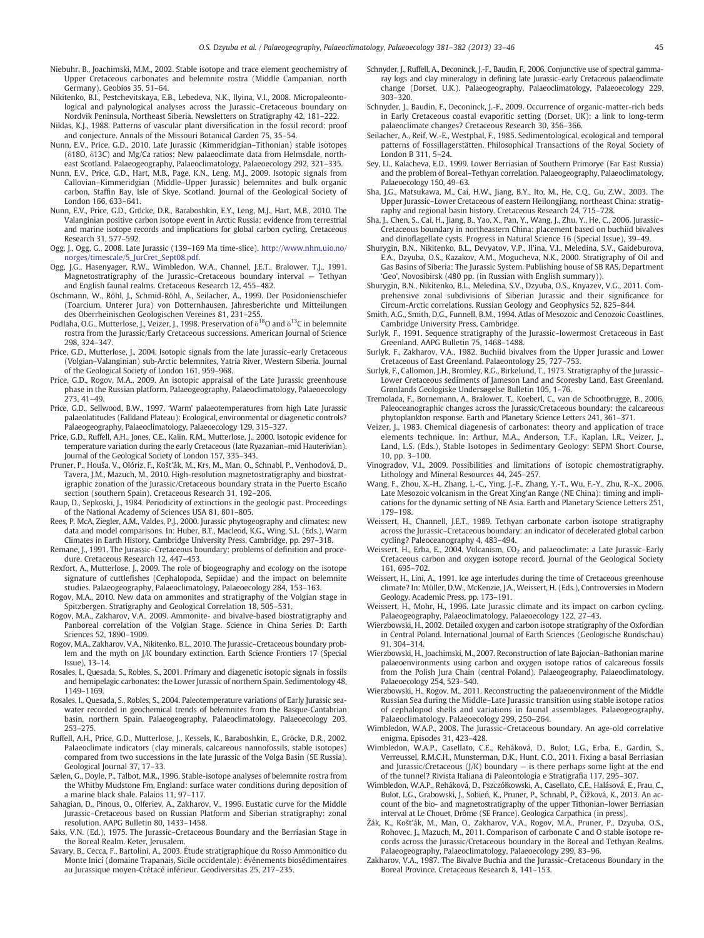- <span id="page-12-0"></span>Niebuhr, B., Joachimski, M.M., 2002. Stable isotope and trace element geochemistry of Upper Cretaceous carbonates and belemnite rostra (Middle Campanian, north Germany). Geobios 35, 51–64.
- Nikitenko, B.I., Pestchevitskaya, E.B., Lebedeva, N.K., Ilyina, V.I., 2008. Micropaleontological and palynological analyses across the Jurassic–Cretaceous boundary on Nordvik Peninsula, Northeast Siberia. Newsletters on Stratigraphy 42, 181–222.
- Niklas, K.J., 1988. Patterns of vascular plant diversification in the fossil record: proof and conjecture. Annals of the Missouri Botanical Garden 75, 35–54.
- Nunn, E.V., Price, G.D., 2010. Late Jurassic (Kimmeridgian–Tithonian) stable isotopes (δ18O, δ13C) and Mg/Ca ratios: New palaeoclimate data from Helmsdale, northeast Scotland. Palaeogeography, Palaeoclimatology, Palaeoecology 292, 321–335.
- Nunn, E.V., Price, G.D., Hart, M.B., Page, K.N., Leng, M.J., 2009. Isotopic signals from Callovian–Kimmeridgian (Middle–Upper Jurassic) belemnites and bulk organic carbon, Staffin Bay, Isle of Skye, Scotland. Journal of the Geological Society of London 166, 633–641.
- Nunn, E.V., Price, G.D., Gröcke, D.R., Baraboshkin, E.Y., Leng, M.J., Hart, M.B., 2010. The Valanginian positive carbon isotope event in Arctic Russia: evidence from terrestrial and marine isotope records and implications for global carbon cycling. Cretaceous Research 31, 577–592.
- Ogg, J., Ogg, G., 2008. Late Jurassic (139–169 Ma time-slice). [http://www.nhm.uio.no/](http://www.nhm.uio.no/norges/timescale/5_JurCret_Sept08.pdf) [norges/timescale/5\\_JurCret\\_Sept08.pdf.](http://www.nhm.uio.no/norges/timescale/5_JurCret_Sept08.pdf)
- Ogg, J.G., Hasenyager, R.W., Wimbledon, W.A., Channel, J.E.T., Bralower, T.J., 1991. Magnetostratigraphy of the Jurassic–Cretaceous boundary interval — Tethyan and English faunal realms. Cretaceous Research 12, 455–482.
- Oschmann, W., Röhl, J., Schmid-Röhl, A., Seilacher, A., 1999. Der Posidonienschiefer (Toarcium, Unterer Jura) von Dotternhausen. Jahresberichte und Mitteilungen des Oberrheinischen Geologischen Vereines 81, 231–255.
- Podlaha, O.G., Mutterlose, J., Veizer, J., 1998. Preservation of  $\delta^{18}$ O and  $\delta^{13}$ C in belemnite rostra from the Jurassic/Early Cretaceous successions. American Journal of Science 298, 324–347.
- Price, G.D., Mutterlose, J., 2004. Isotopic signals from the late Jurassic–early Cretaceous (Volgian–Valanginian) sub-Arctic belemnites, Yatria River, Western Siberia. Journal of the Geological Society of London 161, 959–968.
- Price, G.D., Rogov, M.A., 2009. An isotopic appraisal of the Late Jurassic greenhouse phase in the Russian platform. Palaeogeography, Palaeoclimatology, Palaeoecology 273, 41–49.
- Price, G.D., Sellwood, B.W., 1997. 'Warm' palaeotemperatures from high Late Jurassic palaeolatitudes (Falkland Plateau): Ecological, environmental or diagenetic controls? Palaeogeography, Palaeoclimatology, Palaeoecology 129, 315–327.
- Price, G.D., Ruffell, A.H., Jones, C.E., Kalin, R.M., Mutterlose, J., 2000. Isotopic evidence for temperature variation during the early Cretaceous (late Ryazanian–mid Hauterivian). Journal of the Geological Society of London 157, 335–343.
- Pruner, P., Houša, V., Olóriz, F., Košt'ák, M., Krs, M., Man, O., Schnabl, P., Venhodová, D., Tavera, J.M., Mazuch, M., 2010. High-resolution magnetostratigraphy and biostratigraphic zonation of the Jurassic/Cretaceous boundary strata in the Puerto Escaño section (southern Spain). Cretaceous Research 31, 192–206.
- Raup, D., Sepkoski, J., 1984. Periodicity of extinctions in the geologic past. Proceedings of the National Academy of Sciences USA 81, 801–805.
- Rees, P. McA, Ziegler, A.M., Valdes, P.J., 2000. Jurassic phytogeography and climates: new data and model comparisons. In: Huber, B.T., Macleod, K.G., Wing, S.L. (Eds.), Warm Climates in Earth History. Cambridge University Press, Cambridge, pp. 297–318.
- Remane, J., 1991. The Jurassic–Cretaceous boundary: problems of definition and procedure. Cretaceous Research 12, 447–453.
- Rexfort, A., Mutterlose, J., 2009. The role of biogeography and ecology on the isotope signature of cuttlefishes (Cephalopoda, Sepiidae) and the impact on belemnite studies. Palaeogeography, Palaeoclimatology, Palaeoecology 284, 153–163.
- Rogov, M.A., 2010. New data on ammonites and stratigraphy of the Volgian stage in Spitzbergen. Stratigraphy and Geological Correlation 18, 505–531.
- Rogov, M.A., Zakharov, V.A., 2009. Ammonite- and bivalve-based biostratigraphy and Panboreal correlation of the Volgian Stage. Science in China Series D: Earth Sciences 52, 1890–1909.
- Rogov, M.A., Zakharov, V.A., Nikitenko, B.L., 2010. The Jurassic–Cretaceous boundary problem and the myth on J/K boundary extinction. Earth Science Frontiers 17 (Special Issue), 13–14.
- Rosales, I., Quesada, S., Robles, S., 2001. Primary and diagenetic isotopic signals in fossils and hemipelagic carbonates: the Lower Jurassic of northern Spain. Sedimentology 48, 1149–1169.
- Rosales, I., Quesada, S., Robles, S., 2004. Paleotemperature variations of Early Jurassic seawater recorded in geochemical trends of belemnites from the Basque-Cantabrian basin, northern Spain. Palaeogeography, Palaeoclimatology, Palaeoecology 203, 253–275.
- Ruffell, A.H., Price, G.D., Mutterlose, J., Kessels, K., Baraboshkin, E., Gröcke, D.R., 2002. Palaeoclimate indicators (clay minerals, calcareous nannofossils, stable isotopes) compared from two successions in the late Jurassic of the Volga Basin (SE Russia). Geological Journal 37, 17–33.
- Sælen, G., Doyle, P., Talbot, M.R., 1996. Stable-isotope analyses of belemnite rostra from the Whitby Mudstone Fm, England: surface water conditions during deposition of a marine black shale. Palaios 11, 97–117.
- Sahagian, D., Pinous, O., Olferiev, A., Zakharov, V., 1996. Eustatic curve for the Middle Jurassic–Cretaceous based on Russian Platform and Siberian stratigraphy: zonal resolution. AAPG Bulletin 80, 1433–1458.
- Saks, V.N. (Ed.), 1975. The Jurassic–Cretaceous Boundary and the Berriasian Stage in the Boreal Realm. Keter, Jerusalem.
- Savary, B., Cecca, F., Bartolini, A., 2003. Étude stratigraphique du Rosso Ammonitico du Monte Inici (domaine Trapanais, Sicile occidentale): événements biosédimentaires au Jurassique moyen-Crétacé inférieur. Geodiversitas 25, 217–235.
- Schnyder, J., Ruffell, A., Deconinck, J.-F., Baudin, F., 2006. Conjunctive use of spectral gammaray logs and clay mineralogy in defining late Jurassic–early Cretaceous palaeoclimate change (Dorset, U.K.). Palaeogeography, Palaeoclimatology, Palaeoecology 229, 303–320.
- Schnyder, J., Baudin, F., Deconinck, J.-F., 2009. Occurrence of organic-matter-rich beds in Early Cretaceous coastal evaporitic setting (Dorset, UK): a link to long-term palaeoclimate changes? Cretaceous Research 30, 356–366.
- Seilacher, A., Reif, W.-E., Westphal, F., 1985. Sedimentological, ecological and temporal patterns of Fossillagerstätten. Philosophical Transactions of the Royal Society of London B 311, 5–24.
- Sey, I.I., Kalacheva, E.D., 1999. Lower Berriasian of Southern Primorye (Far East Russia) and the problem of Boreal–Tethyan correlation. Palaeogeography, Palaeoclimatology, Palaeoecology 150, 49–63.
- Sha, J.G., Matsukawa, M., Cai, H.W., Jiang, B.Y., Ito, M., He, C.Q., Gu, Z.W., 2003. The Upper Jurassic–Lower Cretaceous of eastern Heilongjiang, northeast China: stratigraphy and regional basin history. Cretaceous Research 24, 715–728.
- Sha, J., Chen, S., Cai, H., Jiang, B., Yao, X., Pan, Y., Wang, J., Zhu, Y., He, C., 2006. Jurassic– Cretaceous boundary in northeastern China: placement based on buchiid bivalves and dinoflagellate cysts. Progress in Natural Science 16 (Special Issue), 39–49.
- Shurygin, B.N., Nikitenko, B.L., Devyatov, V.P., Il'ina, V.I., Meledina, S.V., Gaideburova, E.A., Dzyuba, O.S., Kazakov, A.M., Mogucheva, N.K., 2000. Stratigraphy of Oil and Gas Basins of Siberia: The Jurassic System. Publishing house of SB RAS, Department 'Geo', Novosibirsk (480 pp. (in Russian with English summary)).
- Shurygin, B.N., Nikitenko, B.L., Meledina, S.V., Dzyuba, O.S., Knyazev, V.G., 2011. Comprehensive zonal subdivisions of Siberian Jurassic and their significance for Circum-Arctic correlations. Russian Geology and Geophysics 52, 825–844.
- Smith, A.G., Smith, D.G., Funnell, B.M., 1994. Atlas of Mesozoic and Cenozoic Coastlines. Cambridge University Press, Cambridge.
- Surlyk, F., 1991. Sequence stratigraphy of the Jurassic–lowermost Cretaceous in East Greenland. AAPG Bulletin 75, 1468–1488.
- Surlyk, F., Zakharov, V.A., 1982. Buchiid bivalves from the Upper Jurassic and Lower Cretaceous of East Greenland. Palaeontology 25, 727–753.
- Surlyk, F., Callomon, J.H., Bromley, R.G., Birkelund, T., 1973. Stratigraphy of the Jurassic– Lower Cretaceous sediments of Jameson Land and Scoresby Land, East Greenland. Grønlands Geologiske Undersøgelse Bulletin 105, 1–76.
- Tremolada, F., Bornemann, A., Bralower, T., Koeberl, C., van de Schootbrugge, B., 2006. Paleoceanographic changes across the Jurassic/Cretaceous boundary: the calcareous phytoplankton response. Earth and Planetary Science Letters 241, 361–371.
- Veizer, J., 1983. Chemical diagenesis of carbonates: theory and application of trace elements technique. In: Arthur, M.A., Anderson, T.F., Kaplan, I.R., Veizer, J., Land, L.S. (Eds.), Stable Isotopes in Sedimentary Geology: SEPM Short Course, 10, pp. 3–100.
- Vinogradov, V.I., 2009. Possibilities and limitations of isotopic chemostratigraphy. Lithology and Mineral Resources 44, 245–257.
- Wang, F., Zhou, X.-H., Zhang, L.-C., Ying, J.-F., Zhang, Y.-T., Wu, F.-Y., Zhu, R.-X., 2006. Late Mesozoic volcanism in the Great Xing'an Range (NE China): timing and implications for the dynamic setting of NE Asia. Earth and Planetary Science Letters 251, 179–198.
- Weissert, H., Channell, J.E.T., 1989. Tethyan carbonate carbon isotope stratigraphy across the Jurassic–Cretaceous boundary: an indicator of decelerated global carbon cycling? Paleoceanography 4, 483–494.
- Weissert, H., Erba, E., 2004. Volcanism, CO<sub>2</sub> and palaeoclimate: a Late Jurassic-Early Cretaceous carbon and oxygen isotope record. Journal of the Geological Society 161, 695–702.
- Weissert, H., Lini, A., 1991. Ice age interludes during the time of Cretaceous greenhouse climate? In: Müller, D.W., McKenzie, J.A., Weissert, H. (Eds.), Controversies in Modern Geology. Academic Press, pp. 173–191.
- Weissert, H., Mohr, H., 1996. Late Jurassic climate and its impact on carbon cycling. Palaeogeography, Palaeoclimatology, Palaeoecology 122, 27–43.
- Wierzbowski, H., 2002. Detailed oxygen and carbon isotope stratigraphy of the Oxfordian in Central Poland. International Journal of Earth Sciences (Geologische Rundschau) 91, 304–314.
- Wierzbowski, H., Joachimski, M., 2007. Reconstruction of late Bajocian–Bathonian marine palaeoenvironments using carbon and oxygen isotope ratios of calcareous fossils from the Polish Jura Chain (central Poland). Palaeogeography, Palaeoclimatology, Palaeoecology 254, 523–540.
- Wierzbowski, H., Rogov, M., 2011. Reconstructing the palaeoenvironment of the Middle Russian Sea during the Middle–Late Jurassic transition using stable isotope ratios of cephalopod shells and variations in faunal assemblages. Palaeogeography, Palaeoclimatology, Palaeoecology 299, 250–264.
- Wimbledon, W.A.P., 2008. The Jurassic–Cretaceous boundary. An age-old correlative enigma. Episodes 31, 423–428.
- Wimbledon, W.A.P., Casellato, C.E., Reháková, D., Bulot, L.G., Erba, E., Gardin, S., Verreussel, R.M.C.H., Munsterman, D.K., Hunt, C.O., 2011. Fixing a basal Berriasian and Jurassic/Cretaceous (J/K) boundary — is there perhaps some light at the end of the tunnel? Rivista Italiana di Paleontologia e Stratigrafia 117, 295–307.
- Wimbledon, W.A.P., Reháková, D., Pszczółkowski, A., Casellato, C.E., Halásová, E., Frau, C., Bulot, L.G., Grabowski, J., Sobień, K., Pruner, P., Schnabl, P., Čížková, K., 2013. An account of the bio- and magnetostratigraphy of the upper Tithonian–lower Berriasian interval at Le Chouet, Drôme (SE France). Geologica Carpathica (in press).
- Žák, K., Košťák, M., Man, O., Zakharov, V.A., Rogov, M.A., Pruner, P., Dzyuba, O.S., Rohovec, J., Mazuch, M., 2011. Comparison of carbonate C and O stable isotope records across the Jurassic/Cretaceous boundary in the Boreal and Tethyan Realms. Palaeogeography, Palaeoclimatology, Palaeoecology 299, 83–96.
- Zakharov, V.A., 1987. The Bivalve Buchia and the Jurassic–Cretaceous Boundary in the Boreal Province. Cretaceous Research 8, 141–153.